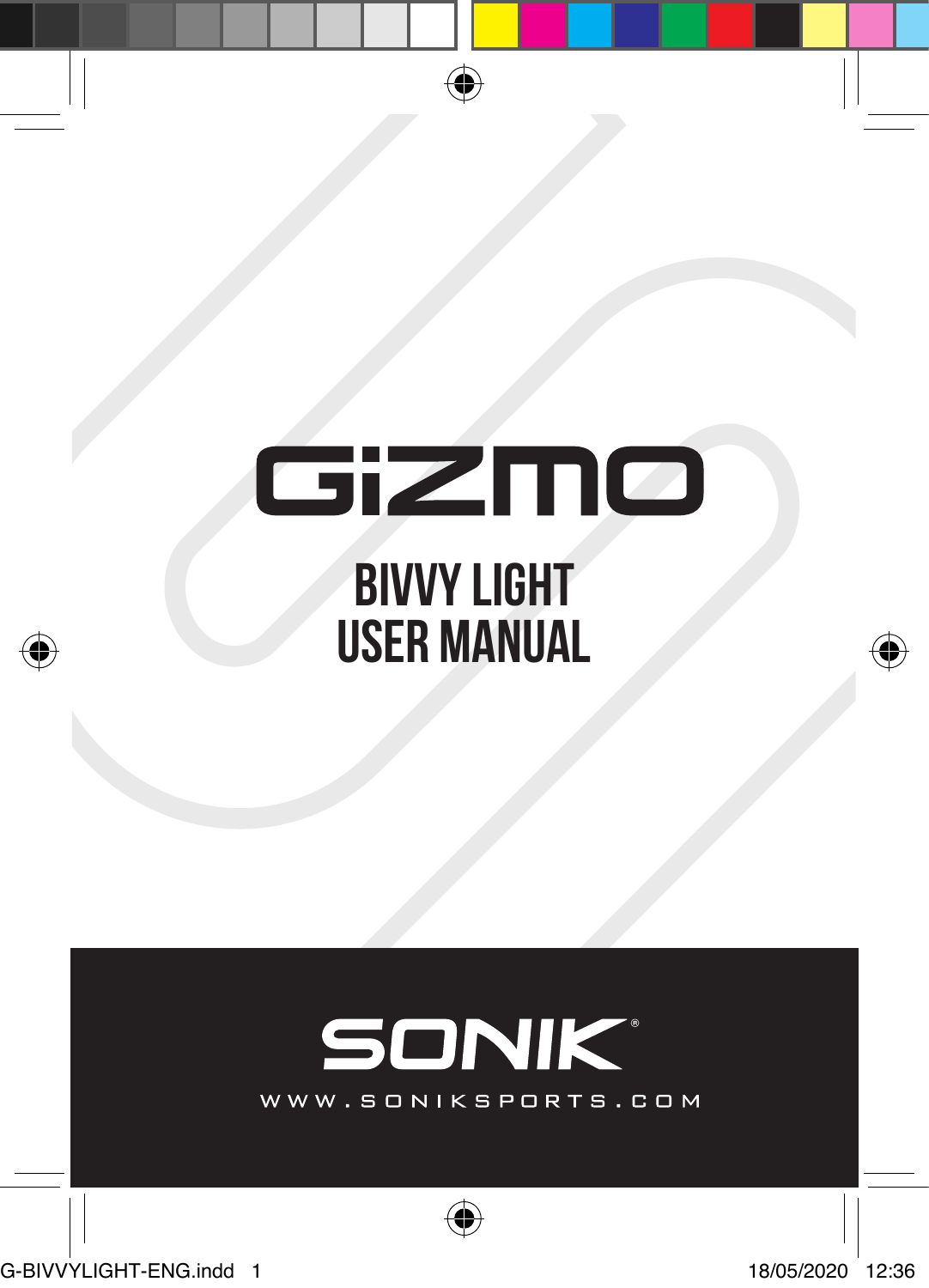# GiZMO **bivvy light USER MANUAL**

⊕

# **SONIK®**

WWW.SONIKSPORTS.COM

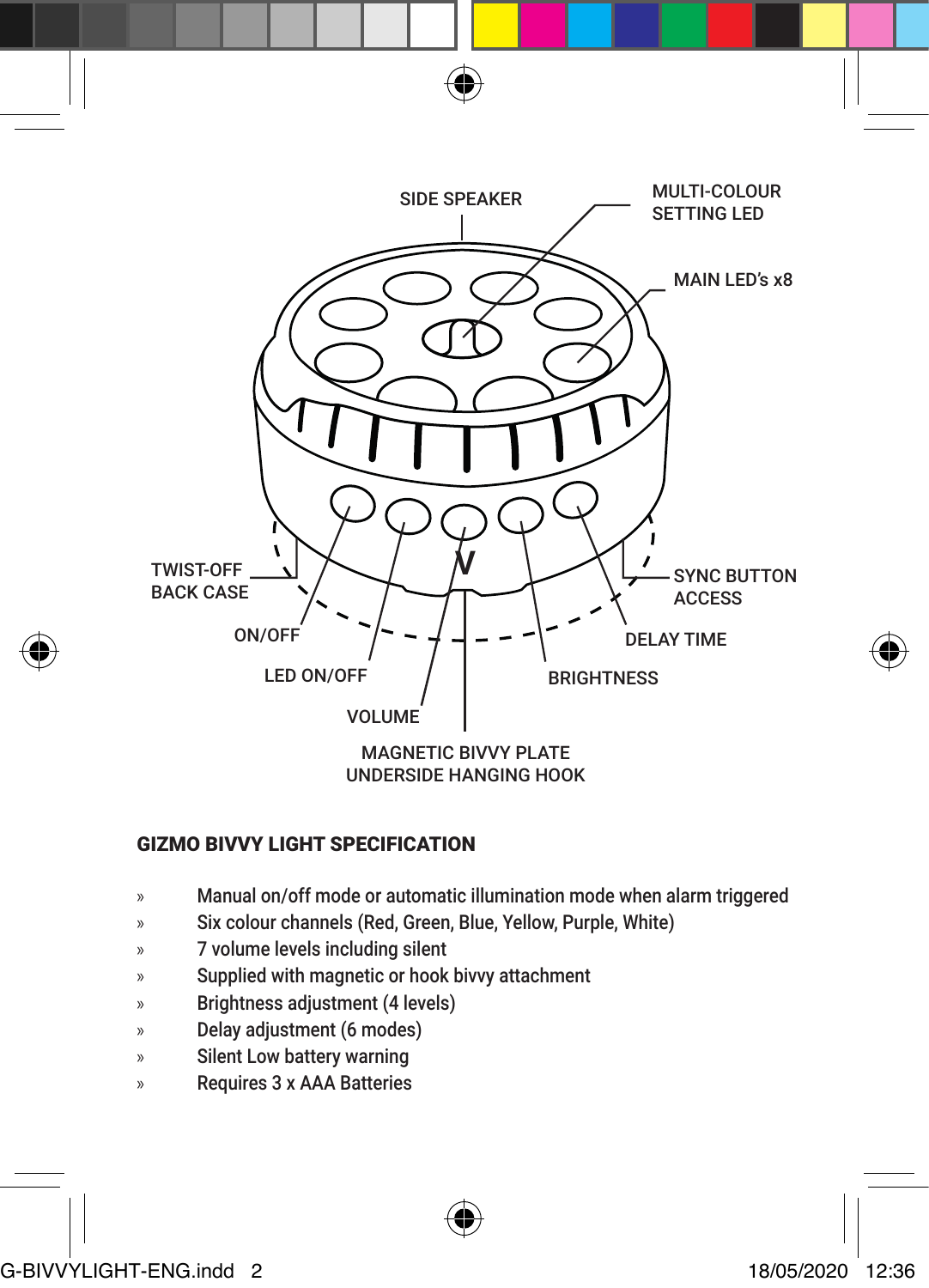

# GIZMO BIVVY LIGHT SPECIFICATION

- » Manual on/off mode or automatic illumination mode when alarm triggered
- » Six colour channels (Red, Green, Blue, Yellow, Purple, White)
- » 7 volume levels including silent
- » Supplied with magnetic or hook bivvy attachment
- » Brightness adjustment (4 levels)
- » Delay adjustment (6 modes)
- » Silent Low battery warning
- » Requires 3 x AAA Batteries



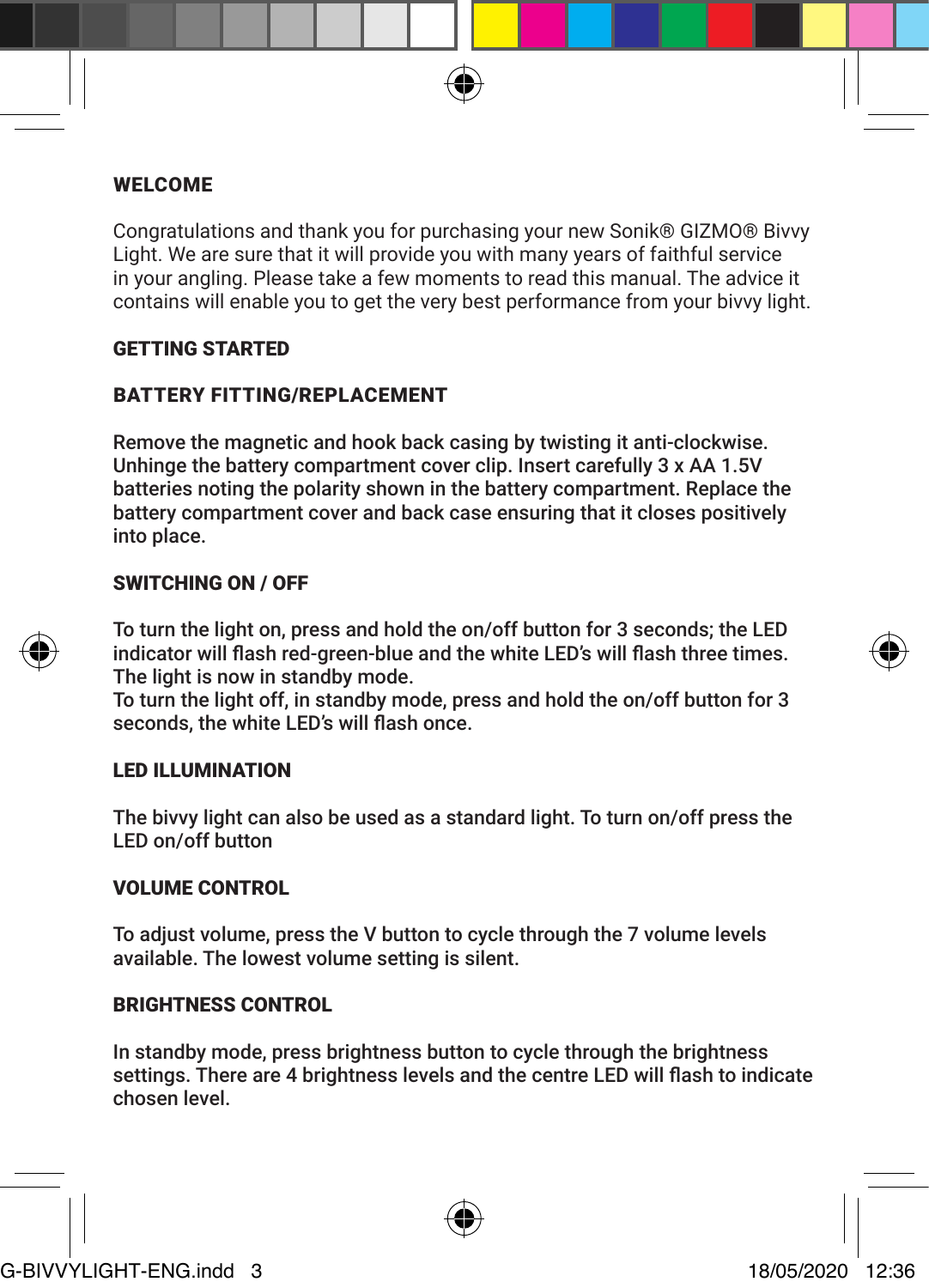#### WELCOME

Congratulations and thank you for purchasing your new Sonik® GIZMO® Bivvy Light. We are sure that it will provide you with many years of faithful service in your angling. Please take a few moments to read this manual. The advice it contains will enable you to get the very best performance from your bivvy light.

#### GETTING STARTED

#### BATTERY FITTING/REPLACEMENT

Remove the magnetic and hook back casing by twisting it anti-clockwise. Unhinge the battery compartment cover clip. Insert carefully 3 x AA 1.5V batteries noting the polarity shown in the battery compartment. Replace the battery compartment cover and back case ensuring that it closes positively into place.

#### SWITCHING ON / OFF

To turn the light on, press and hold the on/off button for 3 seconds; the LED indicator will flash red-green-blue and the white LED's will flash three times. The light is now in standby mode.

To turn the light off, in standby mode, press and hold the on/off button for 3 seconds, the white LED's will flash once.

# LED ILLUMINATION

The bivvy light can also be used as a standard light. To turn on/off press the LED on/off button

#### VOLUME CONTROL

To adjust volume, press the V button to cycle through the 7 volume levels available. The lowest volume setting is silent.

#### BRIGHTNESS CONTROL

In standby mode, press brightness button to cycle through the brightness settings. There are 4 brightness levels and the centre LED will flash to indicate chosen level.

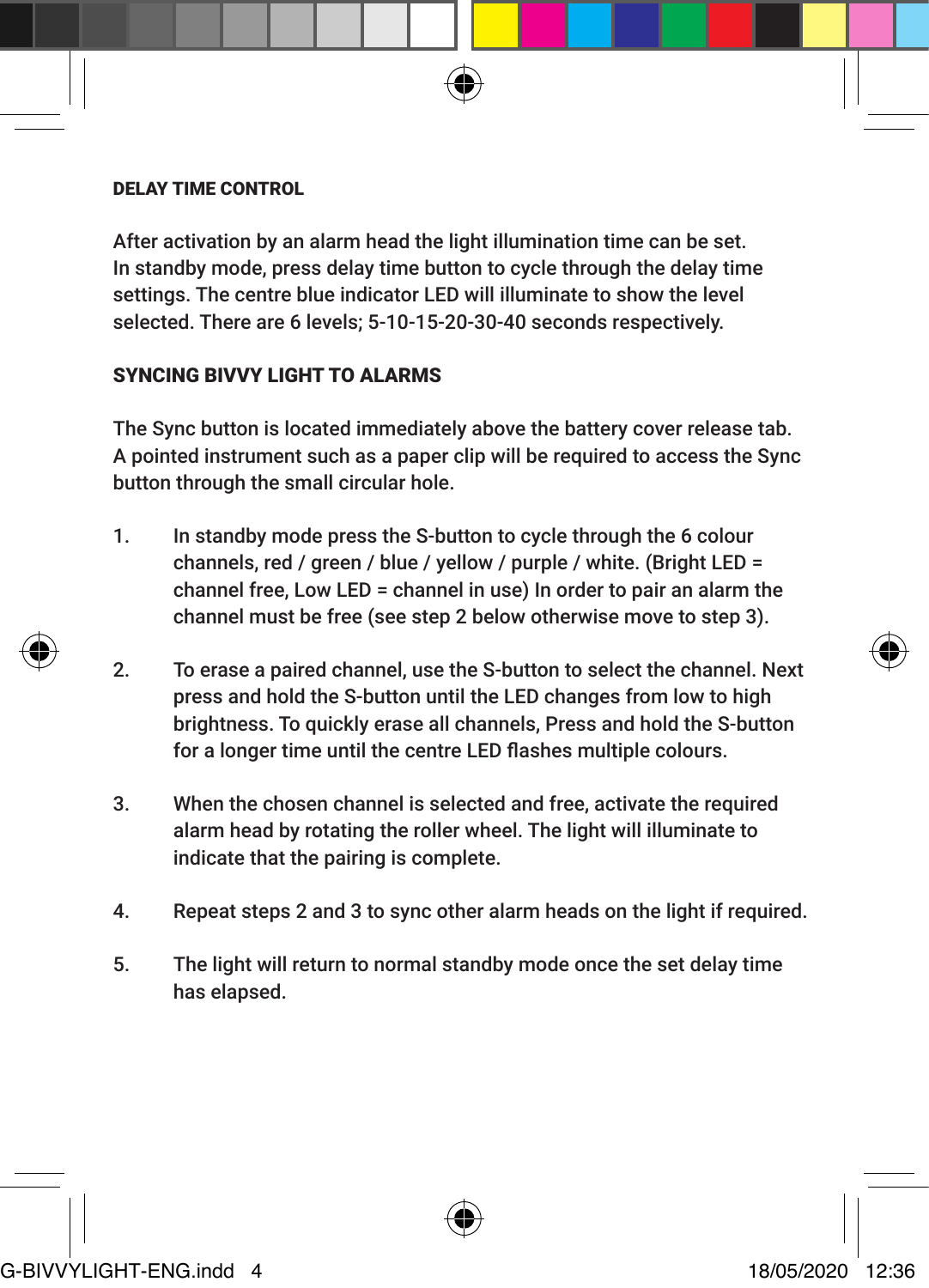#### DELAY TIME CONTROL

After activation by an alarm head the light illumination time can be set. In standby mode, press delay time button to cycle through the delay time settings. The centre blue indicator LED will illuminate to show the level selected. There are 6 levels; 5-10-15-20-30-40 seconds respectively.

# SYNCING BIVVY LIGHT TO ALARMS

The Sync button is located immediately above the battery cover release tab. A pointed instrument such as a paper clip will be required to access the Sync button through the small circular hole.

- 1. In standby mode press the S-button to cycle through the 6 colour channels, red / green / blue / yellow / purple / white. (Bright LED = channel free, Low LED = channel in use) In order to pair an alarm the channel must be free (see step 2 below otherwise move to step 3).
- 2. To erase a paired channel, use the S-button to select the channel. Next press and hold the S-button until the LED changes from low to high brightness. To quickly erase all channels, Press and hold the S-button for a longer time until the centre LED flashes multiple colours.
- 3. When the chosen channel is selected and free, activate the required alarm head by rotating the roller wheel. The light will illuminate to indicate that the pairing is complete.
- 4. Repeat steps 2 and 3 to sync other alarm heads on the light if required.
- 5. The light will return to normal standby mode once the set delay time has elapsed.



G-BIVVYLIGHT-ENG.indd 4 18/05/2020 12:36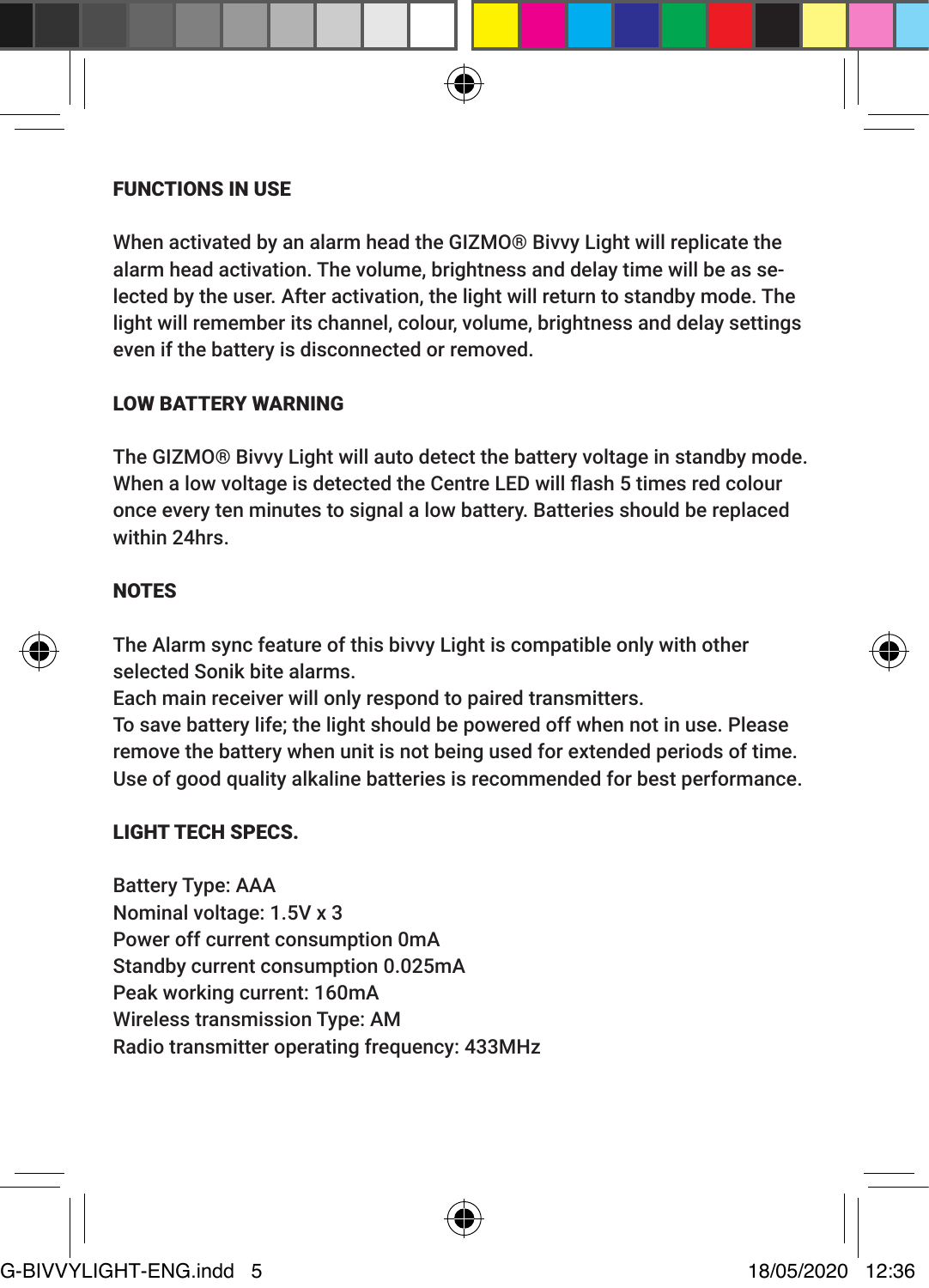#### FUNCTIONS IN USE

When activated by an alarm head the GIZMO® Bivvy Light will replicate the alarm head activation. The volume, brightness and delay time will be as selected by the user. After activation, the light will return to standby mode. The light will remember its channel, colour, volume, brightness and delay settings even if the battery is disconnected or removed.

#### LOW BATTERY WARNING

The GIZMO® Bivvy Light will auto detect the battery voltage in standby mode. When a low voltage is detected the Centre LED will flash 5 times red colour once every ten minutes to signal a low battery. Batteries should be replaced within 24hrs.

# NOTES

The Alarm sync feature of this bivvy Light is compatible only with other selected Sonik bite alarms.

Each main receiver will only respond to paired transmitters.

To save battery life; the light should be powered off when not in use. Please remove the battery when unit is not being used for extended periods of time. Use of good quality alkaline batteries is recommended for best performance.

# LIGHT TECH SPECS.

Battery Type: AAA Nominal voltage: 1.5V x 3 Power off current consumption 0mA Standby current consumption 0.025mA Peak working current: 160mA Wireless transmission Type: AM Radio transmitter operating frequency: 433MHz

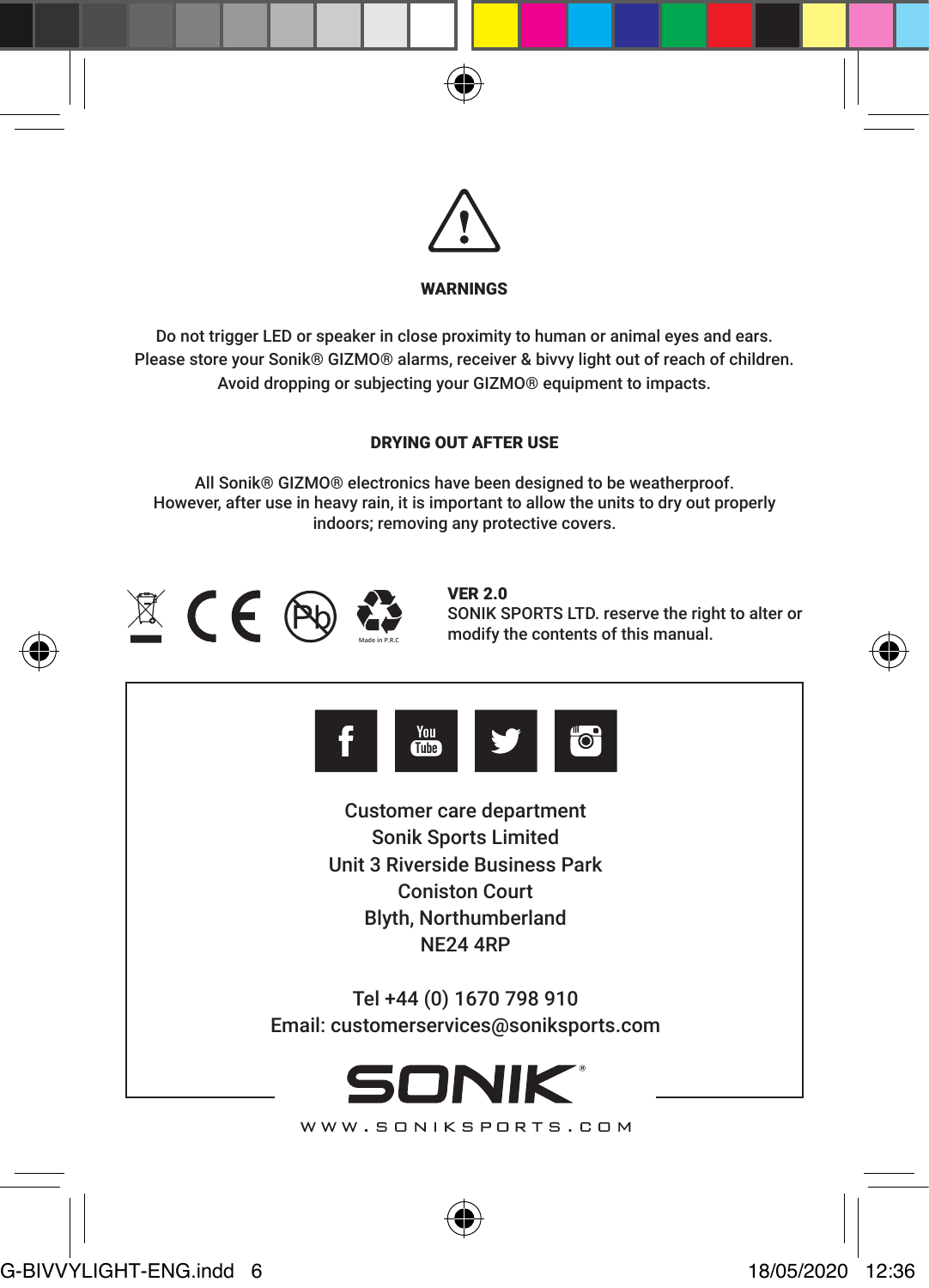



# WARNINGS

Do not trigger LED or speaker in close proximity to human or animal eyes and ears. Please store your Sonik® GIZMO® alarms, receiver & bivvy light out of reach of children. Avoid dropping or subjecting your GIZMO® equipment to impacts.

#### DRYING OUT AFTER USE

All Sonik® GIZMO® electronics have been designed to be weatherproof. However, after use in heavy rain, it is important to allow the units to dry out properly indoors; removing any protective covers.



VER 2.0 SONIK SPORTS LTD. reserve the right to alter or modify the contents of this manual.





Customer care department Sonik Sports Limited Unit 3 Riverside Business Park Coniston Court Blyth, Northumberland NE24 4RP

Tel +44 (0) 1670 798 910 Email: customerservices@soniksports.com



WWW.SONIKSPORTS.COM



G-BIVVYLIGHT-ENG.indd 6 18/05/2020 12:36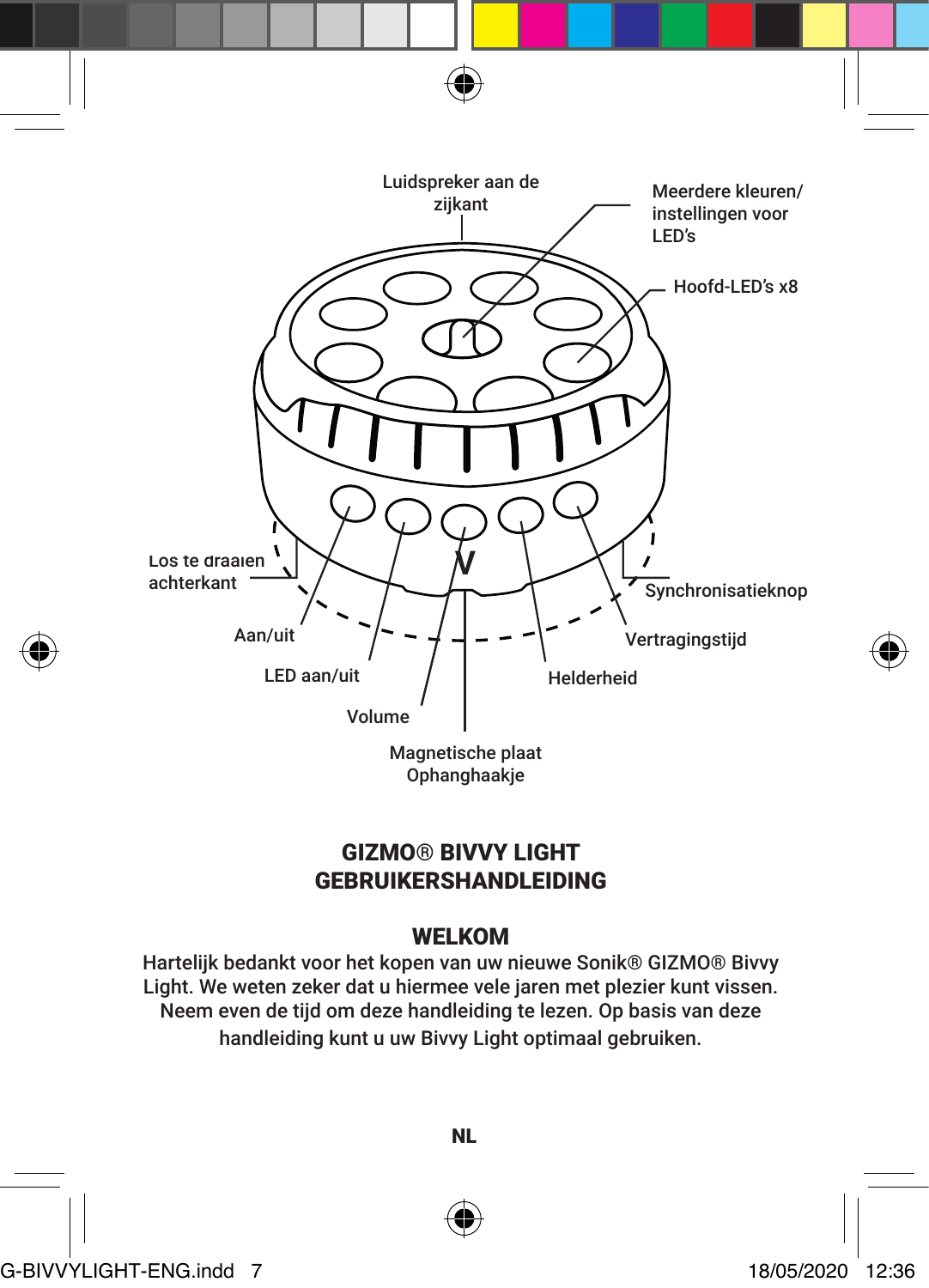

# GIZMO® BIVVY LIGHT GEBRUIKERSHANDLEIDING

# WELKOM

Hartelijk bedankt voor het kopen van uw nieuwe Sonik® GIZMO® Bivvy Light. We weten zeker dat u hiermee vele jaren met plezier kunt vissen. Neem even de tijd om deze handleiding te lezen. Op basis van deze handleiding kunt u uw Bivvy Light optimaal gebruiken.



NL

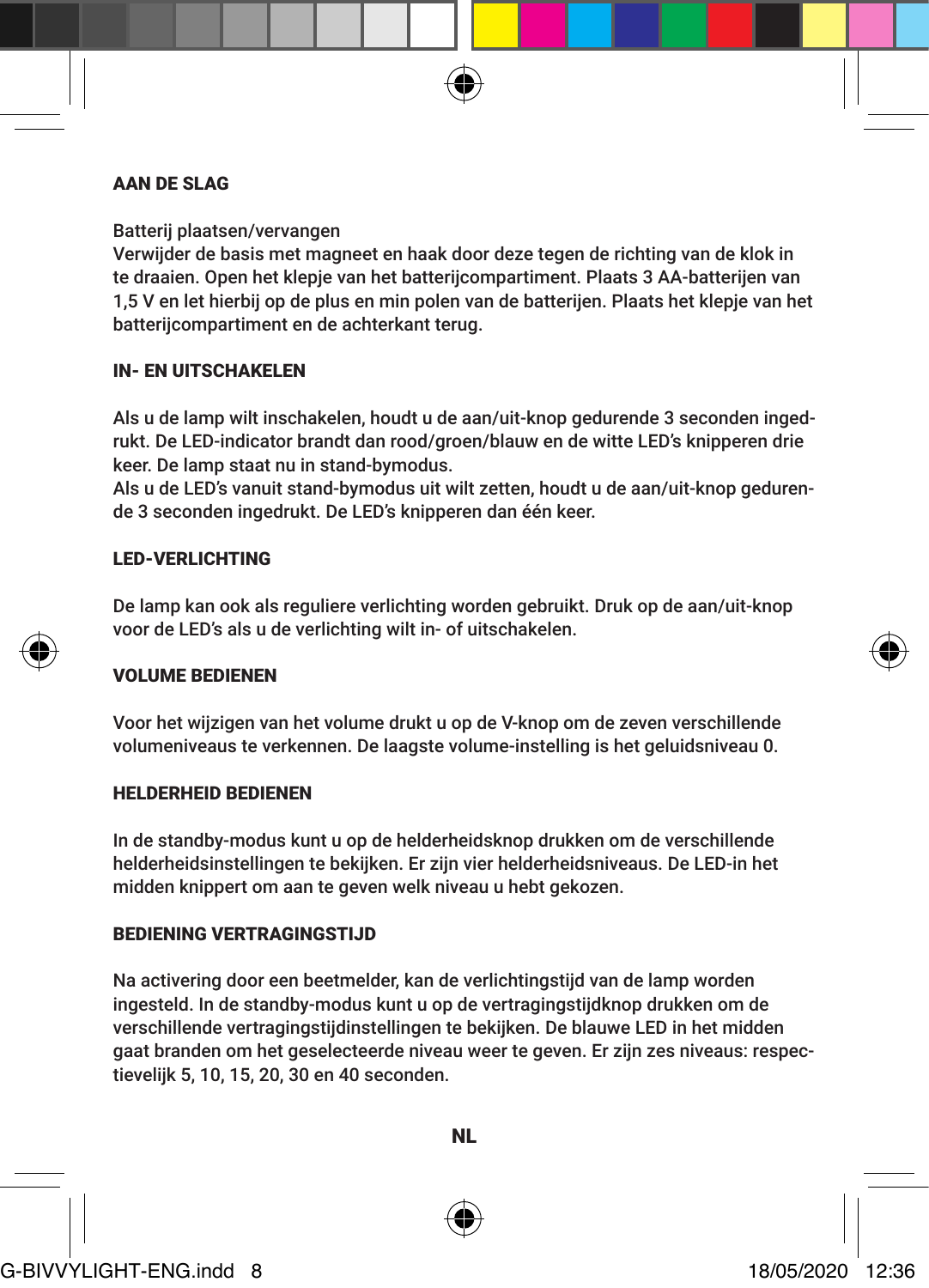#### AAN DE SLAG

Batterij plaatsen/vervangen

Verwijder de basis met magneet en haak door deze tegen de richting van de klok in te draaien. Open het klepje van het batterijcompartiment. Plaats 3 AA-batterijen van 1,5 V en let hierbij op de plus en min polen van de batterijen. Plaats het klepje van het batterijcompartiment en de achterkant terug.

#### IN- EN UITSCHAKELEN

Als u de lamp wilt inschakelen, houdt u de aan/uit-knop gedurende 3 seconden ingedrukt. De LED-indicator brandt dan rood/groen/blauw en de witte LED's knipperen drie keer. De lamp staat nu in stand-bymodus.

Als u de LED's vanuit stand-bymodus uit wilt zetten, houdt u de aan/uit-knop gedurende 3 seconden ingedrukt. De LED's knipperen dan één keer.

#### LED-VERLICHTING

De lamp kan ook als reguliere verlichting worden gebruikt. Druk op de aan/uit-knop voor de LED's als u de verlichting wilt in- of uitschakelen.

#### VOLUME BEDIENEN

Voor het wijzigen van het volume drukt u op de V-knop om de zeven verschillende volumeniveaus te verkennen. De laagste volume-instelling is het geluidsniveau 0.

#### HELDERHEID BEDIENEN

In de standby-modus kunt u op de helderheidsknop drukken om de verschillende helderheidsinstellingen te bekijken. Er zijn vier helderheidsniveaus. De LED-in het midden knippert om aan te geven welk niveau u hebt gekozen.

#### BEDIENING VERTRAGINGSTIJD

Na activering door een beetmelder, kan de verlichtingstijd van de lamp worden ingesteld. In de standby-modus kunt u op de vertragingstijdknop drukken om de verschillende vertragingstijdinstellingen te bekijken. De blauwe LED in het midden gaat branden om het geselecteerde niveau weer te geven. Er zijn zes niveaus: respectievelijk 5, 10, 15, 20, 30 en 40 seconden.

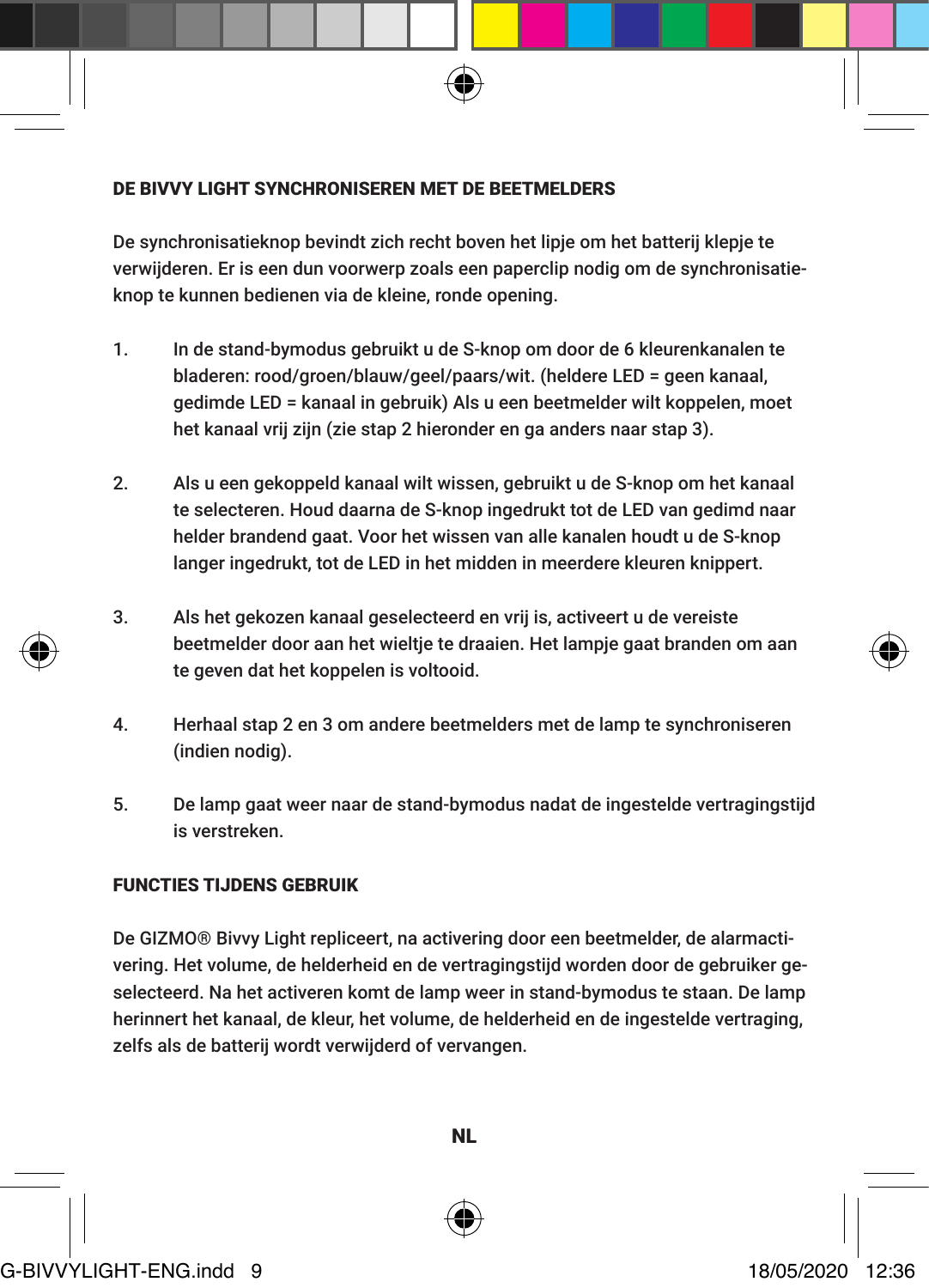#### DE BIVVY LIGHT SYNCHRONISEREN MET DE BEETMELDERS

De synchronisatieknop bevindt zich recht boven het lipje om het batterij klepje te verwijderen. Er is een dun voorwerp zoals een paperclip nodig om de synchronisatieknop te kunnen bedienen via de kleine, ronde opening.

- 1. In de stand-bymodus gebruikt u de S-knop om door de 6 kleurenkanalen te bladeren: rood/groen/blauw/geel/paars/wit. (heldere LED = geen kanaal, gedimde LED = kanaal in gebruik) Als u een beetmelder wilt koppelen, moet het kanaal vrij zijn (zie stap 2 hieronder en ga anders naar stap 3).
- 2. Als u een gekoppeld kanaal wilt wissen, gebruikt u de S-knop om het kanaal te selecteren. Houd daarna de S-knop ingedrukt tot de LED van gedimd naar helder brandend gaat. Voor het wissen van alle kanalen houdt u de S-knop langer ingedrukt, tot de LED in het midden in meerdere kleuren knippert.
- 3. Als het gekozen kanaal geselecteerd en vrij is, activeert u de vereiste beetmelder door aan het wieltje te draaien. Het lampje gaat branden om aan te geven dat het koppelen is voltooid.
- 4. Herhaal stap 2 en 3 om andere beetmelders met de lamp te synchroniseren (indien nodig).
- 5. De lamp gaat weer naar de stand-bymodus nadat de ingestelde vertragingstijd is verstreken.

# FUNCTIES TIJDENS GEBRUIK

De GIZMO® Bivvy Light repliceert, na activering door een beetmelder, de alarmactivering. Het volume, de helderheid en de vertragingstijd worden door de gebruiker geselecteerd. Na het activeren komt de lamp weer in stand-bymodus te staan. De lamp herinnert het kanaal, de kleur, het volume, de helderheid en de ingestelde vertraging, zelfs als de batterij wordt verwijderd of vervangen.



NL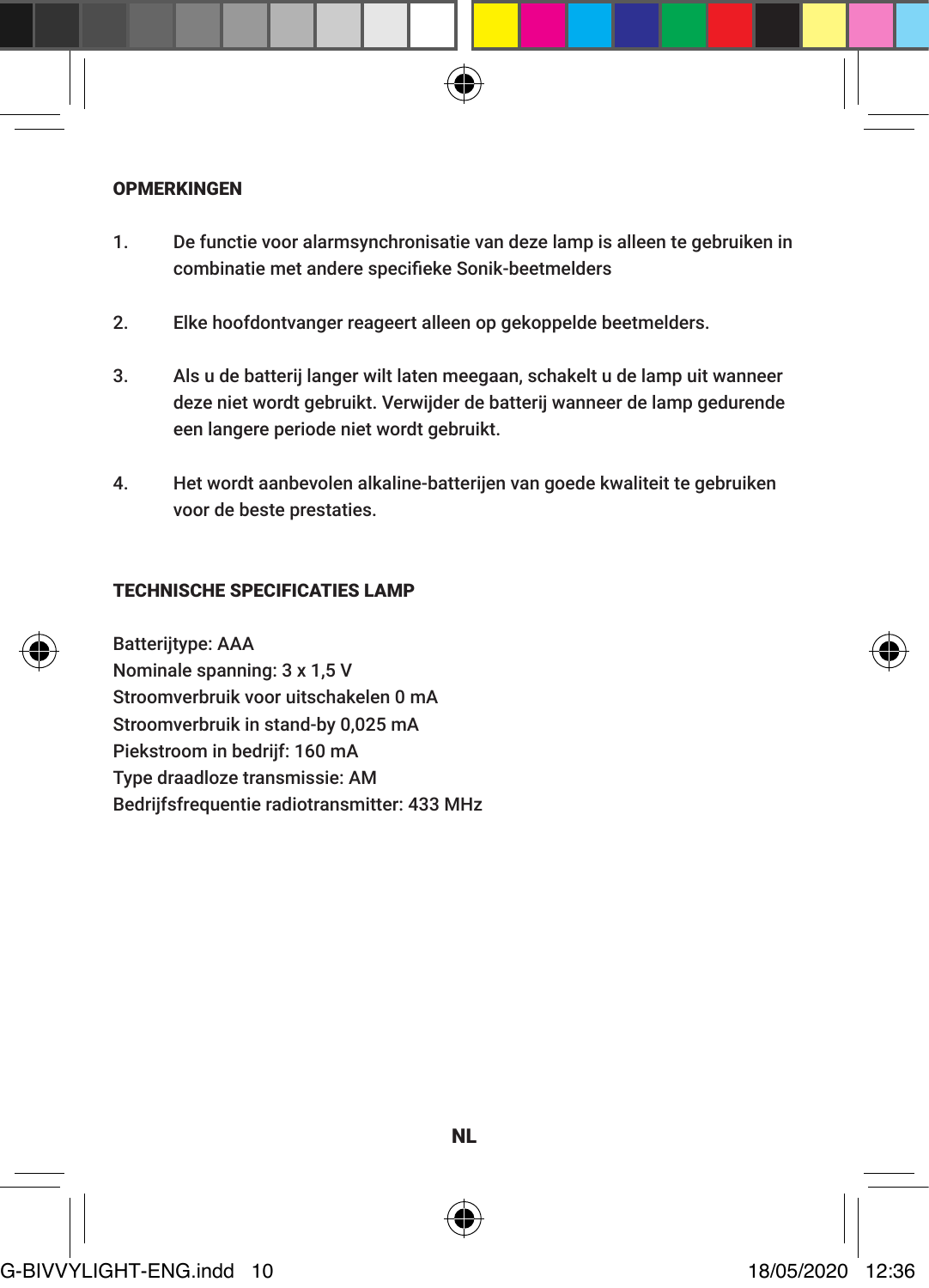

- 1. De functie voor alarmsynchronisatie van deze lamp is alleen te gebruiken in combinatie met andere specifieke Sonik-beetmelders
- 2. Elke hoofdontvanger reageert alleen op gekoppelde beetmelders.
- 3. Als u de batterij langer wilt laten meegaan, schakelt u de lamp uit wanneer deze niet wordt gebruikt. Verwijder de batterij wanneer de lamp gedurende een langere periode niet wordt gebruikt.
- 4. Het wordt aanbevolen alkaline-batterijen van goede kwaliteit te gebruiken voor de beste prestaties.

# TECHNISCHE SPECIFICATIES LAMP





NL

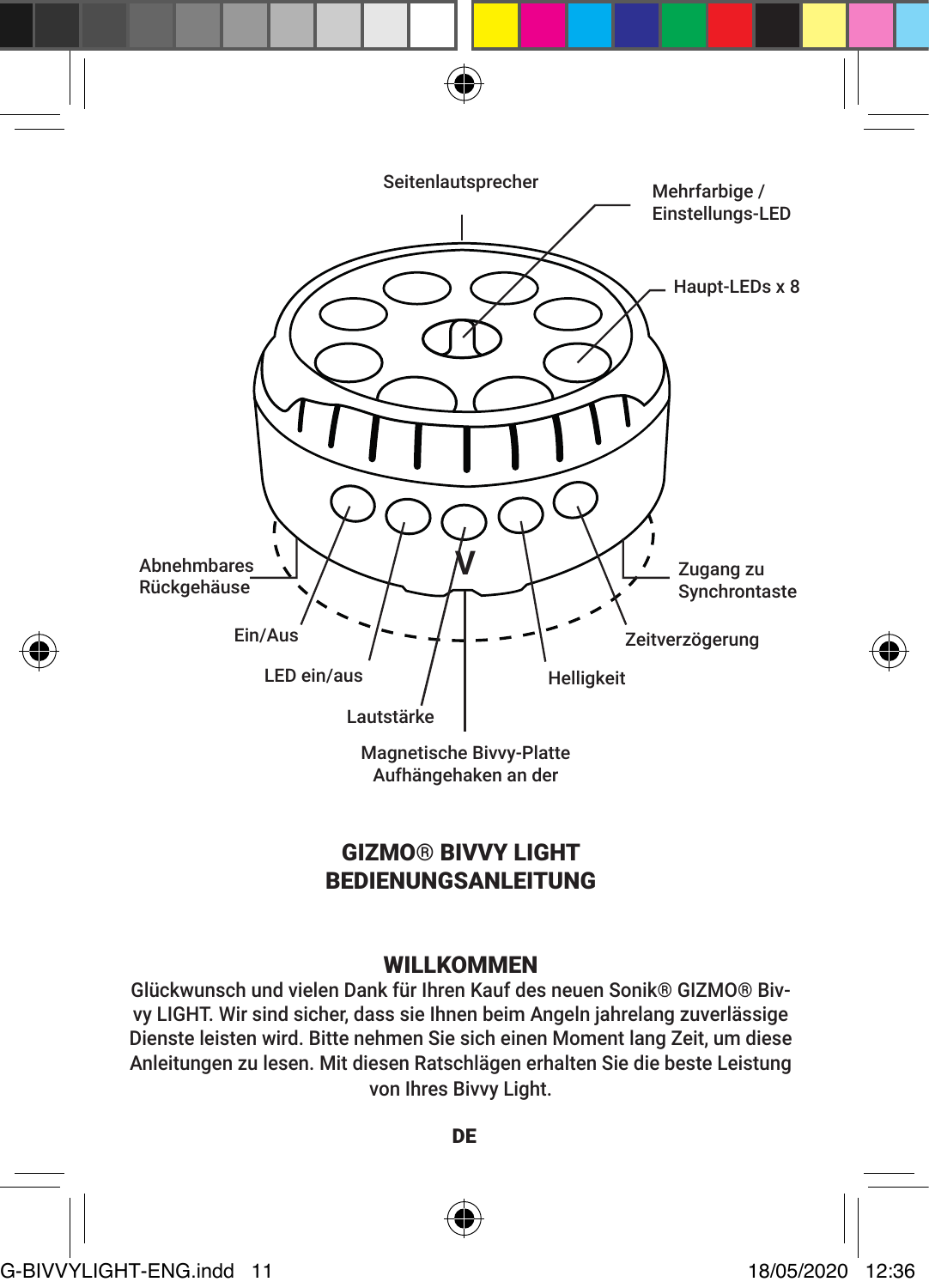

# GIZMO® BIVVY LIGHT BEDIENUNGSANLEITUNG

# WILLKOMMEN

Glückwunsch und vielen Dank für Ihren Kauf des neuen Sonik® GIZMO® Bivvy LIGHT. Wir sind sicher, dass sie Ihnen beim Angeln jahrelang zuverlässige Dienste leisten wird. Bitte nehmen Sie sich einen Moment lang Zeit, um diese Anleitungen zu lesen. Mit diesen Ratschlägen erhalten Sie die beste Leistung von Ihres Bivvy Light.

DE



G-BIVVYLIGHT-ENG.indd 11 18/05/2020 12:36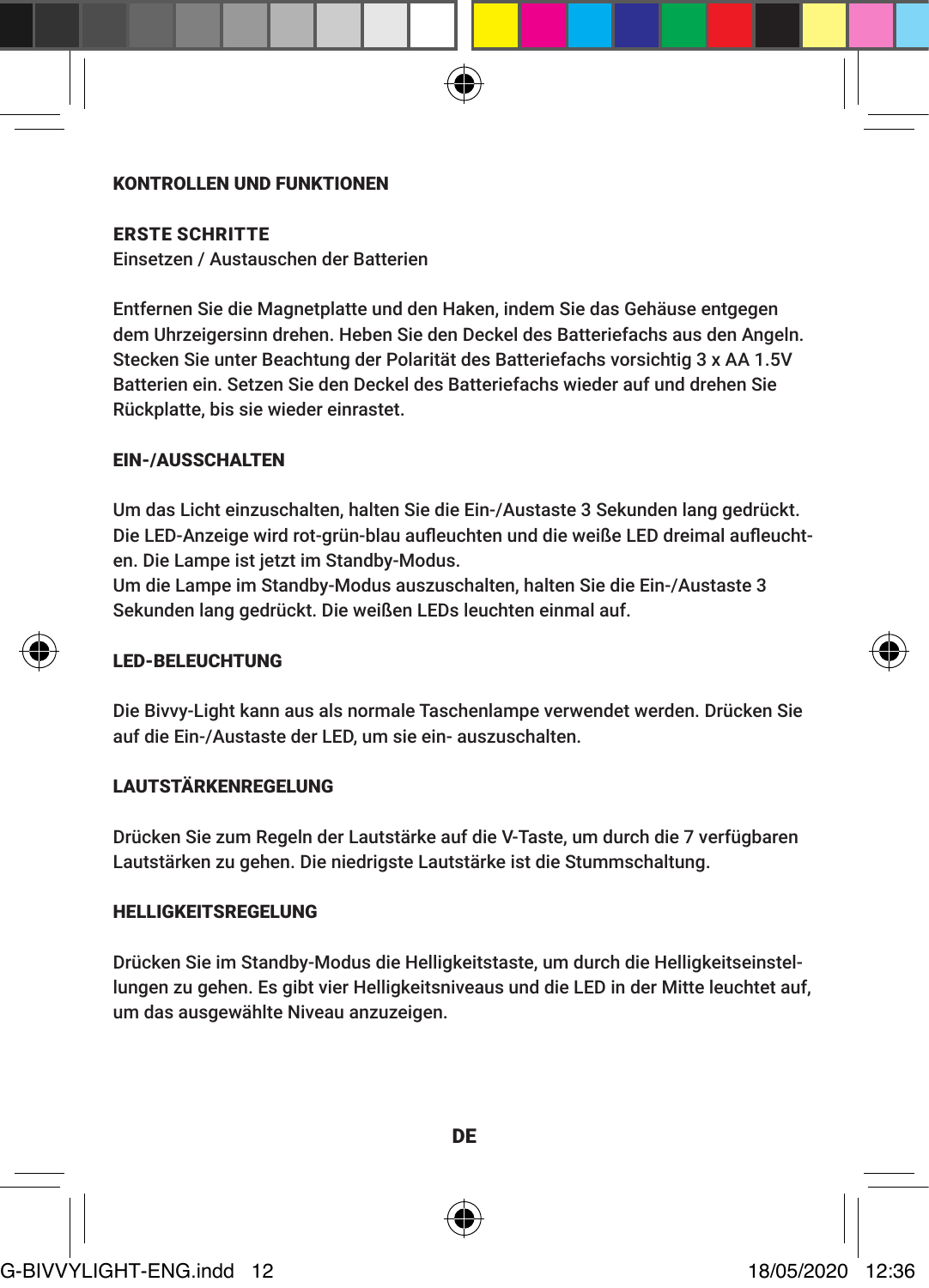#### KONTROLLEN UND FUNKTIONEN

ERSTE SCHRITTE

Einsetzen / Austauschen der Batterien

Entfernen Sie die Magnetplatte und den Haken, indem Sie das Gehäuse entgegen dem Uhrzeigersinn drehen. Heben Sie den Deckel des Batteriefachs aus den Angeln. Stecken Sie unter Beachtung der Polarität des Batteriefachs vorsichtig 3 x AA 1.5V Batterien ein. Setzen Sie den Deckel des Batteriefachs wieder auf und drehen Sie Rückplatte, bis sie wieder einrastet.

#### EIN-/AUSSCHALTEN

Um das Licht einzuschalten, halten Sie die Ein-/Austaste 3 Sekunden lang gedrückt. Die LED-Anzeige wird rot-grün-blau aufleuchten und die weiße LED dreimal aufleuchten. Die Lampe ist jetzt im Standby-Modus.

Um die Lampe im Standby-Modus auszuschalten, halten Sie die Ein-/Austaste 3 Sekunden lang gedrückt. Die weißen LEDs leuchten einmal auf.

#### LED-BELEUCHTUNG

Die Bivvy-Light kann aus als normale Taschenlampe verwendet werden. Drücken Sie auf die Ein-/Austaste der LED, um sie ein- auszuschalten.

# LAUTSTÄRKENREGELUNG

Drücken Sie zum Regeln der Lautstärke auf die V-Taste, um durch die 7 verfügbaren Lautstärken zu gehen. Die niedrigste Lautstärke ist die Stummschaltung.

#### HELLIGKEITSREGELUNG

Drücken Sie im Standby-Modus die Helligkeitstaste, um durch die Helligkeitseinstellungen zu gehen. Es gibt vier Helligkeitsniveaus und die LED in der Mitte leuchtet auf, um das ausgewählte Niveau anzuzeigen.



G-BIVVYLIGHT-ENG.indd 12 18/05/2020 12:36

DE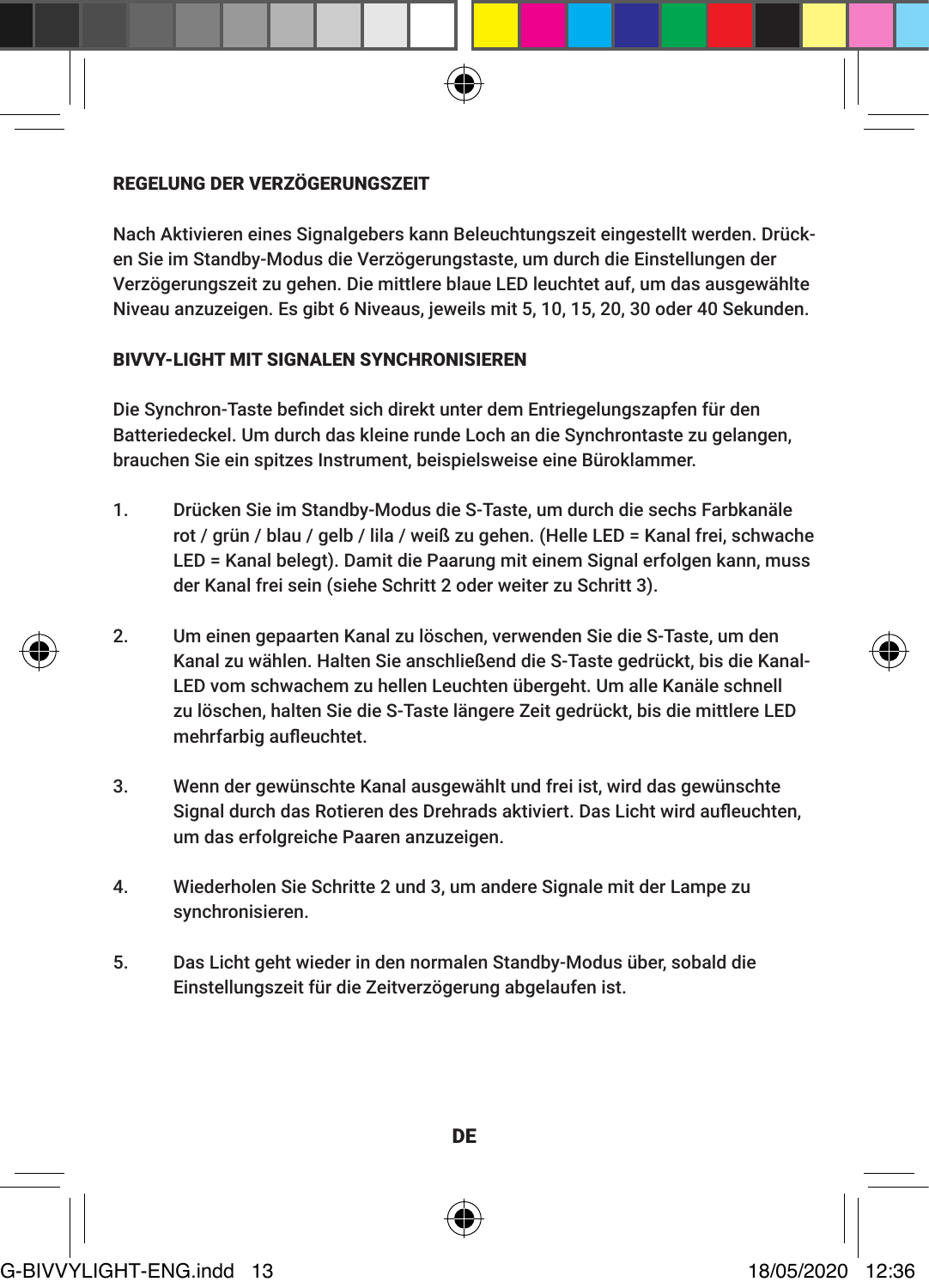#### REGELUNG DER VERZÖGERUNGSZEIT

Nach Aktivieren eines Signalgebers kann Beleuchtungszeit eingestellt werden. Drücken Sie im Standby-Modus die Verzögerungstaste, um durch die Einstellungen der Verzögerungszeit zu gehen. Die mittlere blaue LED leuchtet auf, um das ausgewählte Niveau anzuzeigen. Es gibt 6 Niveaus, jeweils mit 5, 10, 15, 20, 30 oder 40 Sekunden.

#### BIVVY-LIGHT MIT SIGNALEN SYNCHRONISIEREN

Die Synchron-Taste befindet sich direkt unter dem Entriegelungszapfen für den Batteriedeckel. Um durch das kleine runde Loch an die Synchrontaste zu gelangen, brauchen Sie ein spitzes Instrument, beispielsweise eine Büroklammer.

- 1. Drücken Sie im Standby-Modus die S-Taste, um durch die sechs Farbkanäle rot / grün / blau / gelb / lila / weiß zu gehen. (Helle LED = Kanal frei, schwache LED = Kanal belegt). Damit die Paarung mit einem Signal erfolgen kann, muss der Kanal frei sein (siehe Schritt 2 oder weiter zu Schritt 3).
- 2. Um einen gepaarten Kanal zu löschen, verwenden Sie die S-Taste, um den Kanal zu wählen. Halten Sie anschließend die S-Taste gedrückt, bis die Kanal-LED vom schwachem zu hellen Leuchten übergeht. Um alle Kanäle schnell zu löschen, halten Sie die S-Taste längere Zeit gedrückt, bis die mittlere LED mehrfarbig aufleuchtet.
- 3. Wenn der gewünschte Kanal ausgewählt und frei ist, wird das gewünschte Signal durch das Rotieren des Drehrads aktiviert. Das Licht wird aufleuchten, um das erfolgreiche Paaren anzuzeigen.
- 4. Wiederholen Sie Schritte 2 und 3, um andere Signale mit der Lampe zu synchronisieren.
- 5. Das Licht geht wieder in den normalen Standby-Modus über, sobald die Einstellungszeit für die Zeitverzögerung abgelaufen ist.





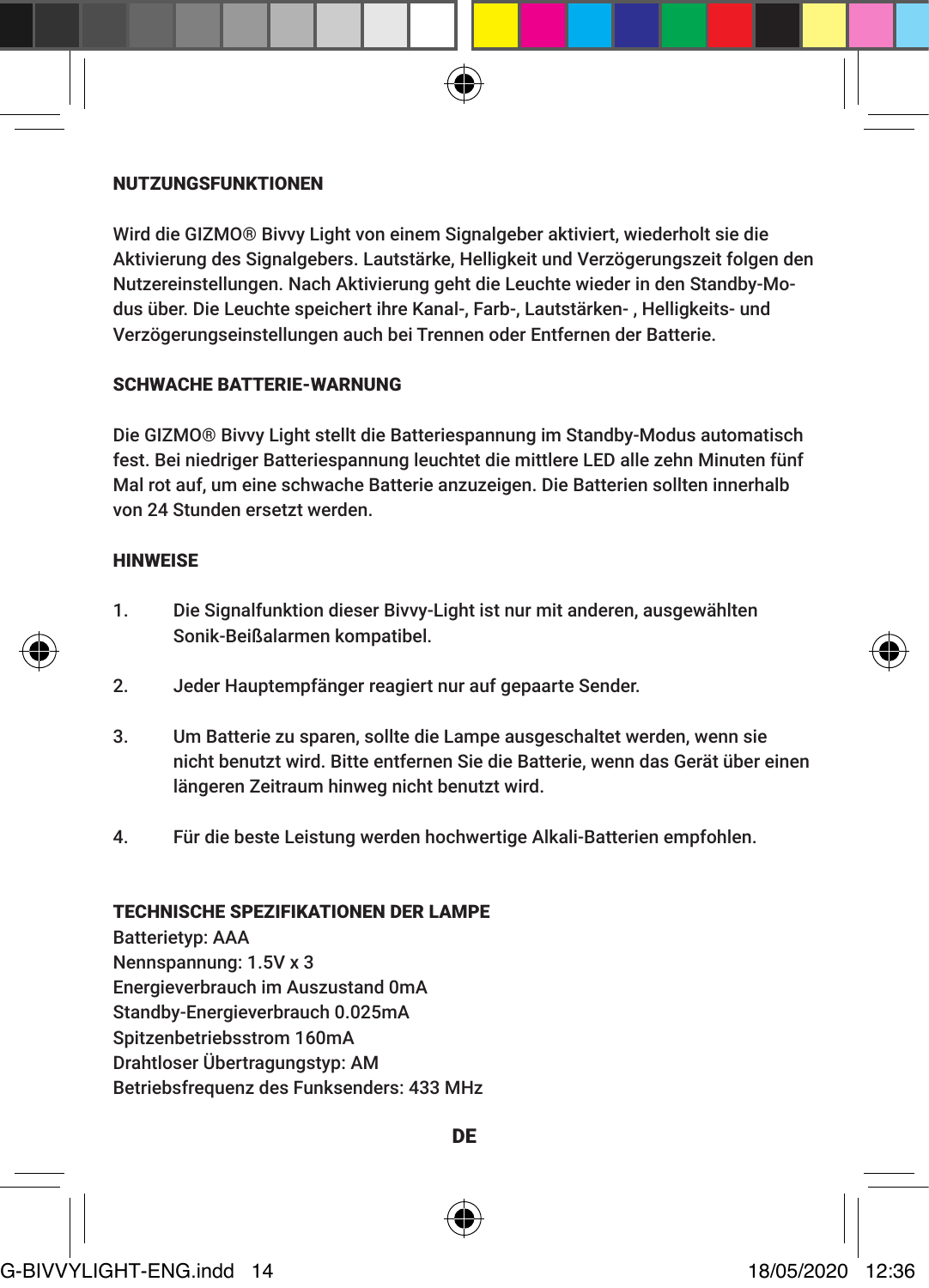#### NUTZUNGSFUNKTIONEN

Wird die GIZMO® Bivvy Light von einem Signalgeber aktiviert, wiederholt sie die Aktivierung des Signalgebers. Lautstärke, Helligkeit und Verzögerungszeit folgen den Nutzereinstellungen. Nach Aktivierung geht die Leuchte wieder in den Standby-Modus über. Die Leuchte speichert ihre Kanal-, Farb-, Lautstärken- , Helligkeits- und Verzögerungseinstellungen auch bei Trennen oder Entfernen der Batterie.

#### SCHWACHE BATTERIE-WARNUNG

Die GIZMO® Bivvy Light stellt die Batteriespannung im Standby-Modus automatisch fest. Bei niedriger Batteriespannung leuchtet die mittlere LED alle zehn Minuten fünf Mal rot auf, um eine schwache Batterie anzuzeigen. Die Batterien sollten innerhalb von 24 Stunden ersetzt werden.

#### **HINWEISE**

- 1. Die Signalfunktion dieser Bivvy-Light ist nur mit anderen, ausgewählten Sonik-Beißalarmen kompatibel.
- 2. Jeder Hauptempfänger reagiert nur auf gepaarte Sender.
- 3. Um Batterie zu sparen, sollte die Lampe ausgeschaltet werden, wenn sie nicht benutzt wird. Bitte entfernen Sie die Batterie, wenn das Gerät über einen längeren Zeitraum hinweg nicht benutzt wird.
- 4. Für die beste Leistung werden hochwertige Alkali-Batterien empfohlen.

#### TECHNISCHE SPEZIFIKATIONEN DER LAMPE

Batterietyp: AAA Nennspannung: 1.5V x 3 Energieverbrauch im Auszustand 0mA Standby-Energieverbrauch 0.025mA Spitzenbetriebsstrom 160mA Drahtloser Übertragungstyp: AM Betriebsfrequenz des Funksenders: 433 MHz



DE

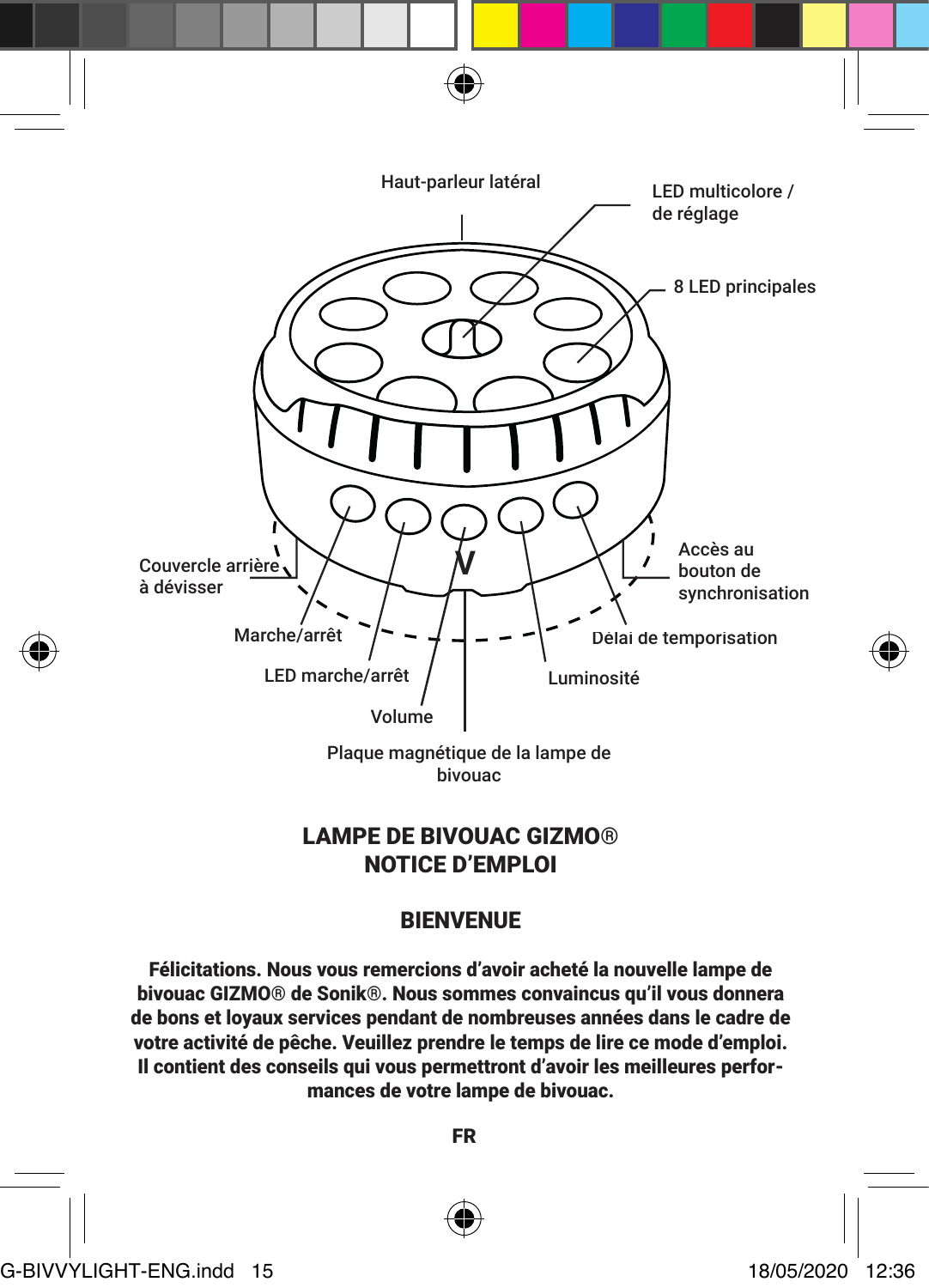

# LAMPE DE BIVOUAC GIZMO® NOTICE D'EMPLOI

# BIENVENUE

Félicitations. Nous vous remercions d'avoir acheté la nouvelle lampe de bivouac GIZMO® de Sonik®. Nous sommes convaincus qu'il vous donnera de bons et loyaux services pendant de nombreuses années dans le cadre de votre activité de pêche. Veuillez prendre le temps de lire ce mode d'emploi. Il contient des conseils qui vous permettront d'avoir les meilleures performances de votre lampe de bivouac.

FR



G-BIVVYLIGHT-ENG.indd 15 18/05/2020 12:36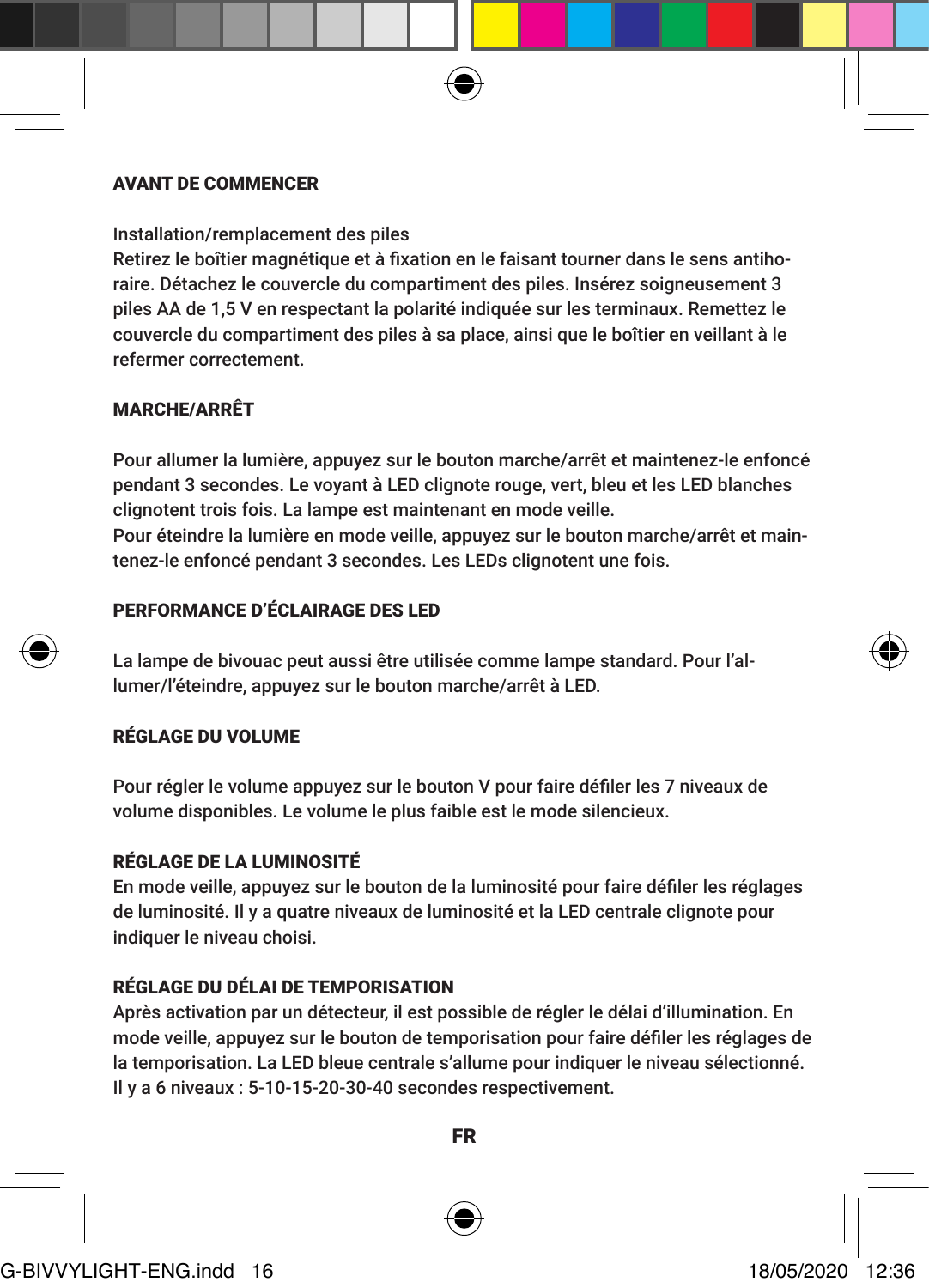#### AVANT DE COMMENCER

Installation/remplacement des piles

Retirez le boîtier magnétique et à fixation en le faisant tourner dans le sens antihoraire. Détachez le couvercle du compartiment des piles. Insérez soigneusement 3 piles AA de 1,5 V en respectant la polarité indiquée sur les terminaux. Remettez le couvercle du compartiment des piles à sa place, ainsi que le boîtier en veillant à le refermer correctement.

# MARCHE/ARRÊT

Pour allumer la lumière, appuyez sur le bouton marche/arrêt et maintenez-le enfoncé pendant 3 secondes. Le voyant à LED clignote rouge, vert, bleu et les LED blanches clignotent trois fois. La lampe est maintenant en mode veille. Pour éteindre la lumière en mode veille, appuyez sur le bouton marche/arrêt et maintenez-le enfoncé pendant 3 secondes. Les LEDs clignotent une fois.

# PERFORMANCE D'ÉCLAIRAGE DES LED

La lampe de bivouac peut aussi être utilisée comme lampe standard. Pour l'allumer/l'éteindre, appuyez sur le bouton marche/arrêt à LED.

### RÉGLAGE DU VOLUME

Pour régler le volume appuyez sur le bouton V pour faire défiler les 7 niveaux de volume disponibles. Le volume le plus faible est le mode silencieux.

# RÉGLAGE DE LA LUMINOSITÉ

En mode veille, appuyez sur le bouton de la luminosité pour faire défiler les réglages de luminosité. Il y a quatre niveaux de luminosité et la LED centrale clignote pour indiquer le niveau choisi.

# RÉGLAGE DU DÉLAI DE TEMPORISATION

Après activation par un détecteur, il est possible de régler le délai d'illumination. En mode veille, appuyez sur le bouton de temporisation pour faire défiler les réglages de la temporisation. La LED bleue centrale s'allume pour indiquer le niveau sélectionné. Il y a 6 niveaux : 5-10-15-20-30-40 secondes respectivement.



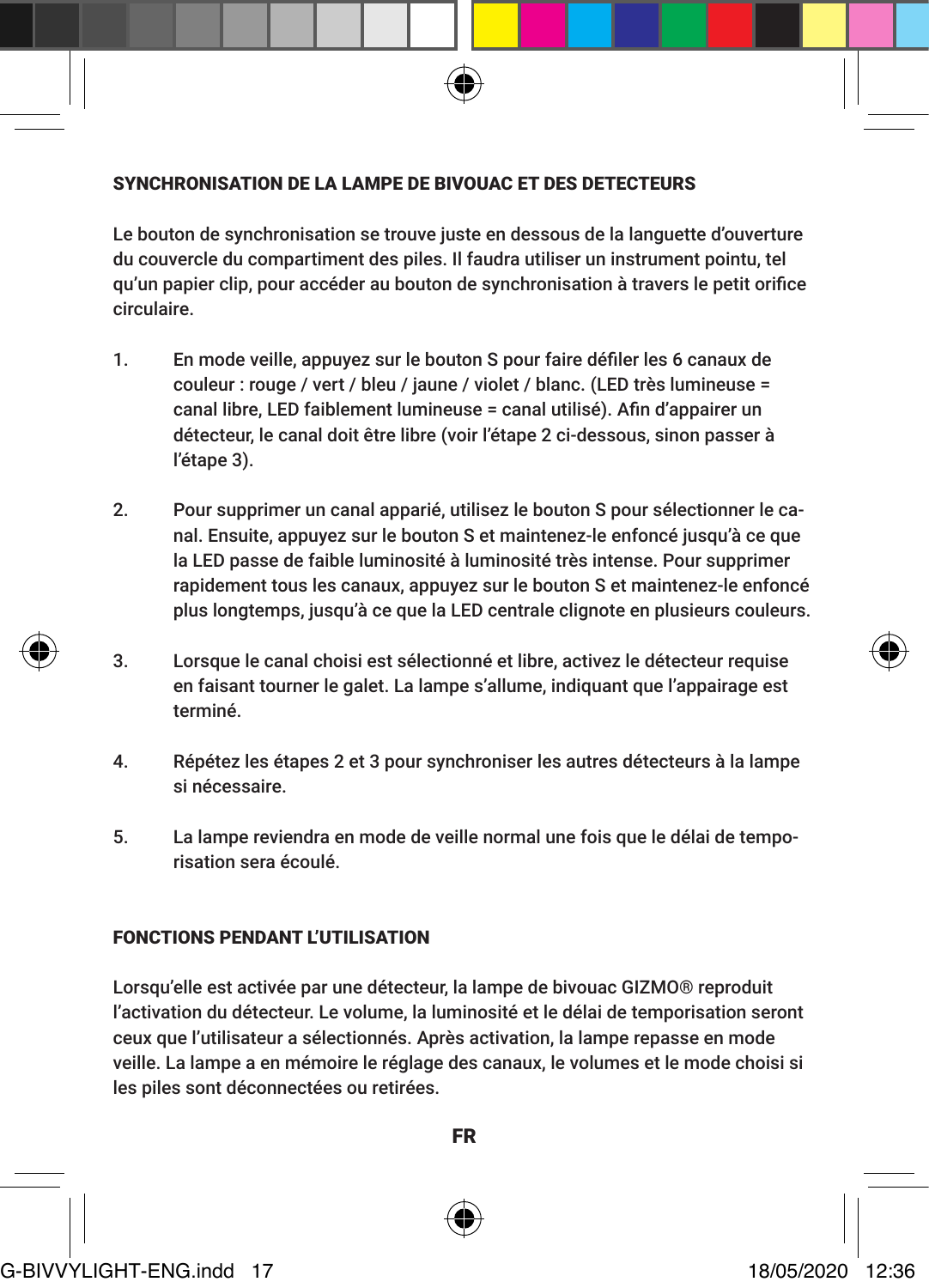#### SYNCHRONISATION DE LA LAMPE DE BIVOUAC ET DES DETECTEURS

Le bouton de synchronisation se trouve juste en dessous de la languette d'ouverture du couvercle du compartiment des piles. Il faudra utiliser un instrument pointu, tel qu'un papier clip, pour accéder au bouton de synchronisation à travers le petit orifice circulaire.

- 1. En mode veille, appuyez sur le bouton S pour faire défiler les 6 canaux de couleur : rouge / vert / bleu / jaune / violet / blanc. (LED très lumineuse = canal libre, LED faiblement lumineuse = canal utilisé). Afin d'appairer un détecteur, le canal doit être libre (voir l'étape 2 ci-dessous, sinon passer à l'étape 3).
- 2. Pour supprimer un canal apparié, utilisez le bouton S pour sélectionner le canal. Ensuite, appuyez sur le bouton S et maintenez-le enfoncé jusqu'à ce que la LED passe de faible luminosité à luminosité très intense. Pour supprimer rapidement tous les canaux, appuyez sur le bouton S et maintenez-le enfoncé plus longtemps, jusqu'à ce que la LED centrale clignote en plusieurs couleurs.
- 3. Lorsque le canal choisi est sélectionné et libre, activez le détecteur requise en faisant tourner le galet. La lampe s'allume, indiquant que l'appairage est terminé.
- 4. Répétez les étapes 2 et 3 pour synchroniser les autres détecteurs à la lampe si nécessaire.
- 5. La lampe reviendra en mode de veille normal une fois que le délai de temporisation sera écoulé.

#### FONCTIONS PENDANT L'UTILISATION

Lorsqu'elle est activée par une détecteur, la lampe de bivouac GIZMO® reproduit l'activation du détecteur. Le volume, la luminosité et le délai de temporisation seront ceux que l'utilisateur a sélectionnés. Après activation, la lampe repasse en mode veille. La lampe a en mémoire le réglage des canaux, le volumes et le mode choisi si les piles sont déconnectées ou retirées.

FR

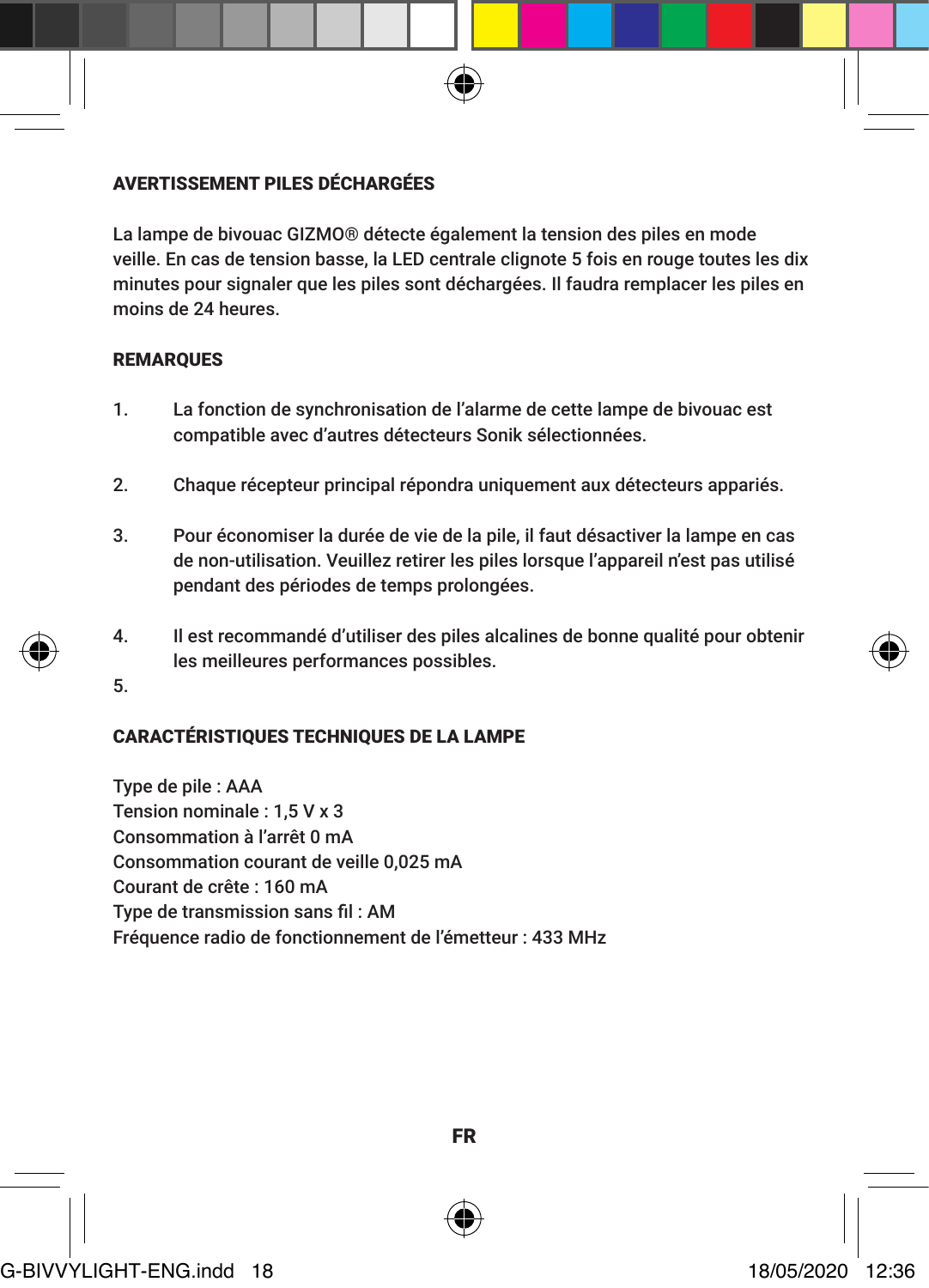# AVERTISSEMENT PILES DÉCHARGÉES

La lampe de bivouac GIZMO® détecte également la tension des piles en mode veille. En cas de tension basse, la LED centrale clignote 5 fois en rouge toutes les dix minutes pour signaler que les piles sont déchargées. Il faudra remplacer les piles en moins de 24 heures.

#### REMARQUES

- 1. La fonction de synchronisation de l'alarme de cette lampe de bivouac est compatible avec d'autres détecteurs Sonik sélectionnées.
- 2. Chaque récepteur principal répondra uniquement aux détecteurs appariés.
- 3. Pour économiser la durée de vie de la pile, il faut désactiver la lampe en cas de non-utilisation. Veuillez retirer les piles lorsque l'appareil n'est pas utilisé pendant des périodes de temps prolongées.
- 4. Il est recommandé d'utiliser des piles alcalines de bonne qualité pour obtenir les meilleures performances possibles.
- 5.

# CARACTÉRISTIQUES TECHNIQUES DE LA LAMPE

Type de pile : AAA Tension nominale : 1,5 V x 3 Consommation à l'arrêt 0 mA Consommation courant de veille 0,025 mA Courant de crête : 160 mA Type de transmission sans fil : AM Fréquence radio de fonctionnement de l'émetteur : 433 MHz



FR

G-BIVVYLIGHT-ENG.indd 18 18/05/2020 12:36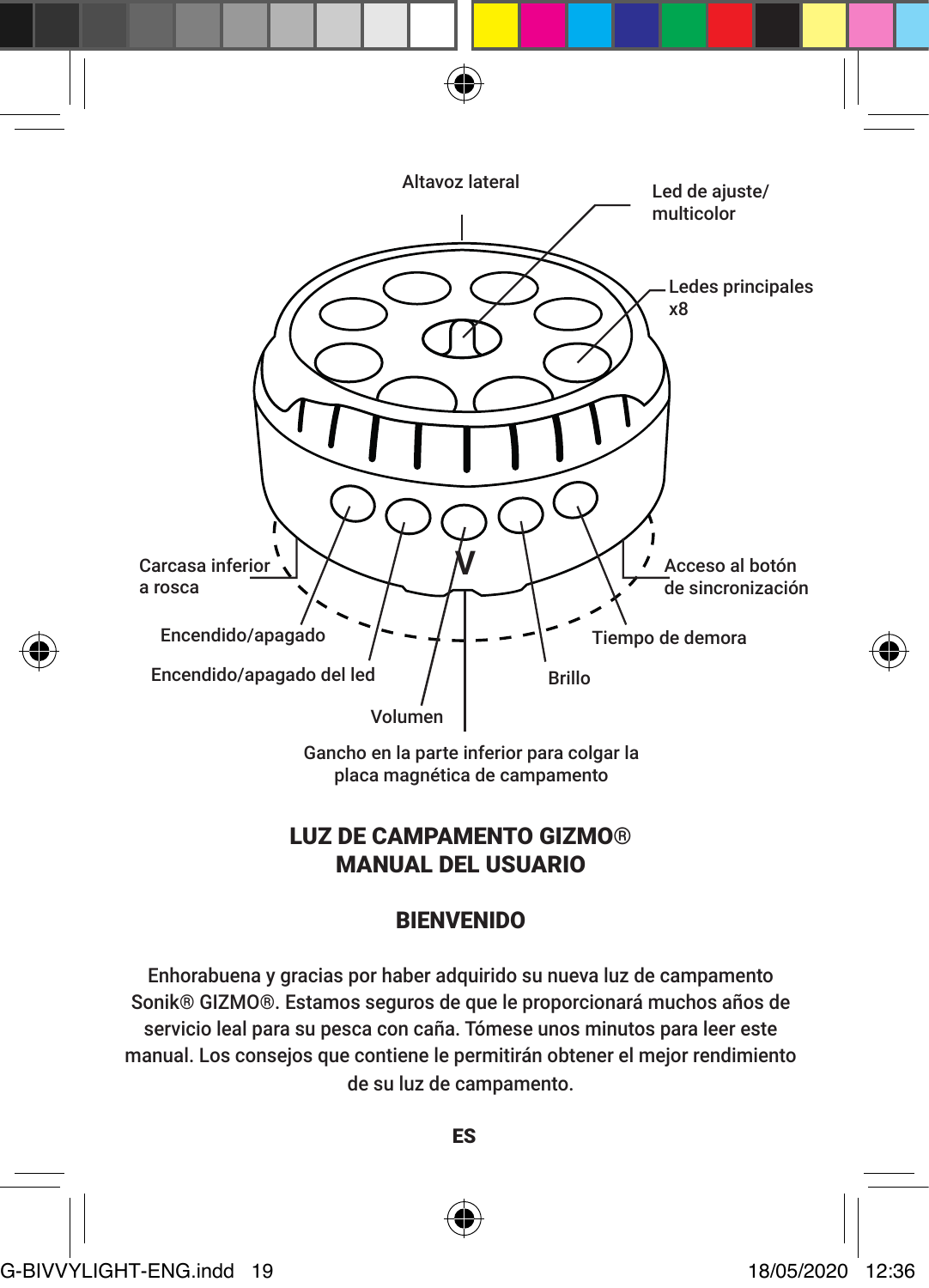

placa magnética de campamento

# LUZ DE CAMPAMENTO GIZMO® MANUAL DEL USUARIO

# BIENVENIDO

Enhorabuena y gracias por haber adquirido su nueva luz de campamento Sonik® GIZMO®. Estamos seguros de que le proporcionará muchos años de servicio leal para su pesca con caña. Tómese unos minutos para leer este manual. Los consejos que contiene le permitirán obtener el mejor rendimiento de su luz de campamento.

ES



G-BIVVYLIGHT-ENG.indd 19 18/05/2020 12:36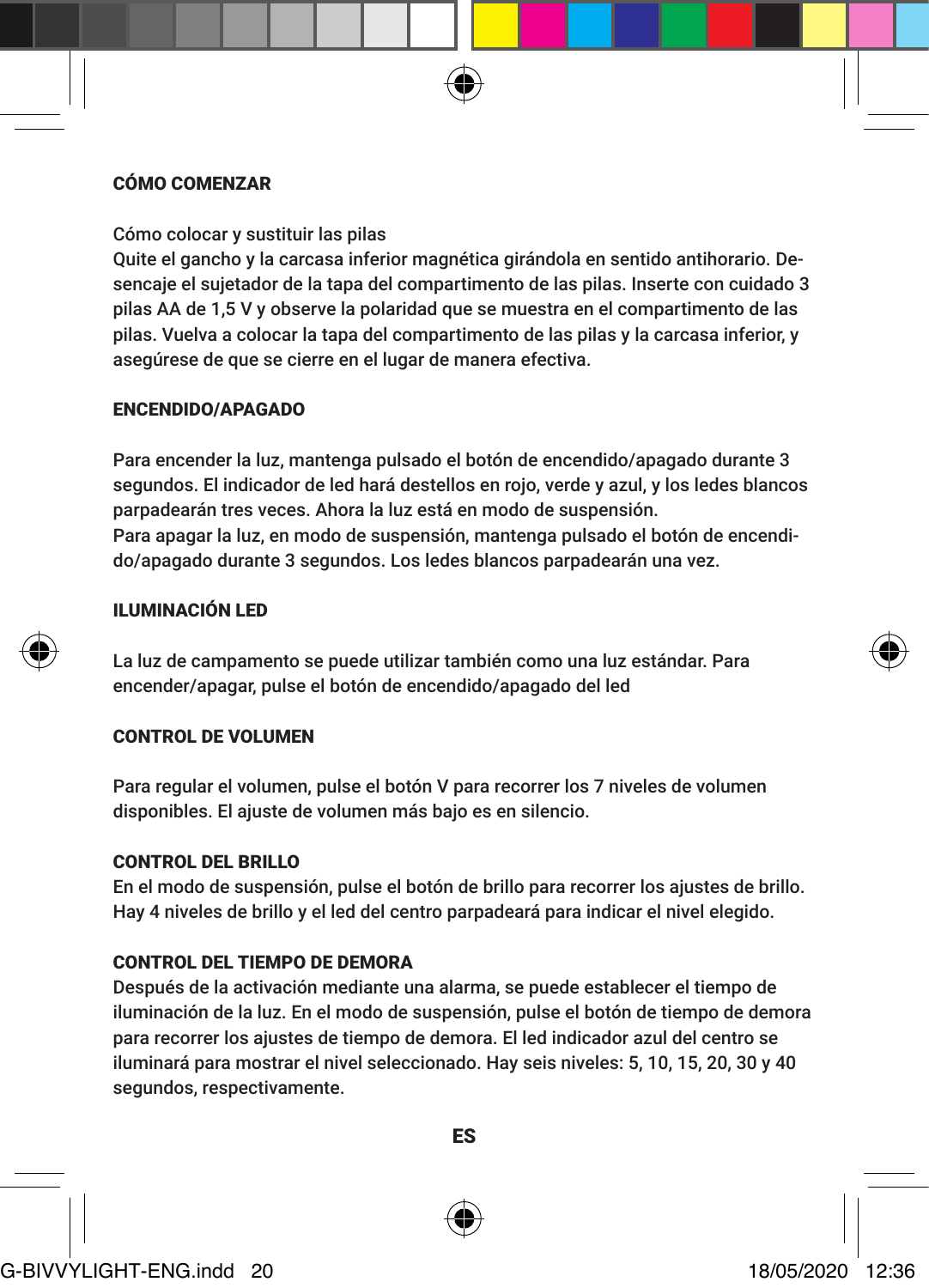#### CÓMO COMENZAR

Cómo colocar y sustituir las pilas

Quite el gancho y la carcasa inferior magnética girándola en sentido antihorario. Desencaje el sujetador de la tapa del compartimento de las pilas. Inserte con cuidado 3 pilas AA de 1,5 V y observe la polaridad que se muestra en el compartimento de las pilas. Vuelva a colocar la tapa del compartimento de las pilas y la carcasa inferior, y asegúrese de que se cierre en el lugar de manera efectiva.

#### ENCENDIDO/APAGADO

Para encender la luz, mantenga pulsado el botón de encendido/apagado durante 3 segundos. El indicador de led hará destellos en rojo, verde y azul, y los ledes blancos parpadearán tres veces. Ahora la luz está en modo de suspensión. Para apagar la luz, en modo de suspensión, mantenga pulsado el botón de encendido/apagado durante 3 segundos. Los ledes blancos parpadearán una vez.

# ILUMINACIÓN LED

La luz de campamento se puede utilizar también como una luz estándar. Para encender/apagar, pulse el botón de encendido/apagado del led

#### CONTROL DE VOLUMEN

Para regular el volumen, pulse el botón V para recorrer los 7 niveles de volumen disponibles. El ajuste de volumen más bajo es en silencio.

#### CONTROL DEL BRILLO

En el modo de suspensión, pulse el botón de brillo para recorrer los ajustes de brillo. Hay 4 niveles de brillo y el led del centro parpadeará para indicar el nivel elegido.

#### CONTROL DEL TIEMPO DE DEMORA

Después de la activación mediante una alarma, se puede establecer el tiempo de iluminación de la luz. En el modo de suspensión, pulse el botón de tiempo de demora para recorrer los ajustes de tiempo de demora. El led indicador azul del centro se iluminará para mostrar el nivel seleccionado. Hay seis niveles: 5, 10, 15, 20, 30 y 40 segundos, respectivamente.

ES



# G-BIVVYLIGHT-ENG.indd 20 18/05/2020 12:36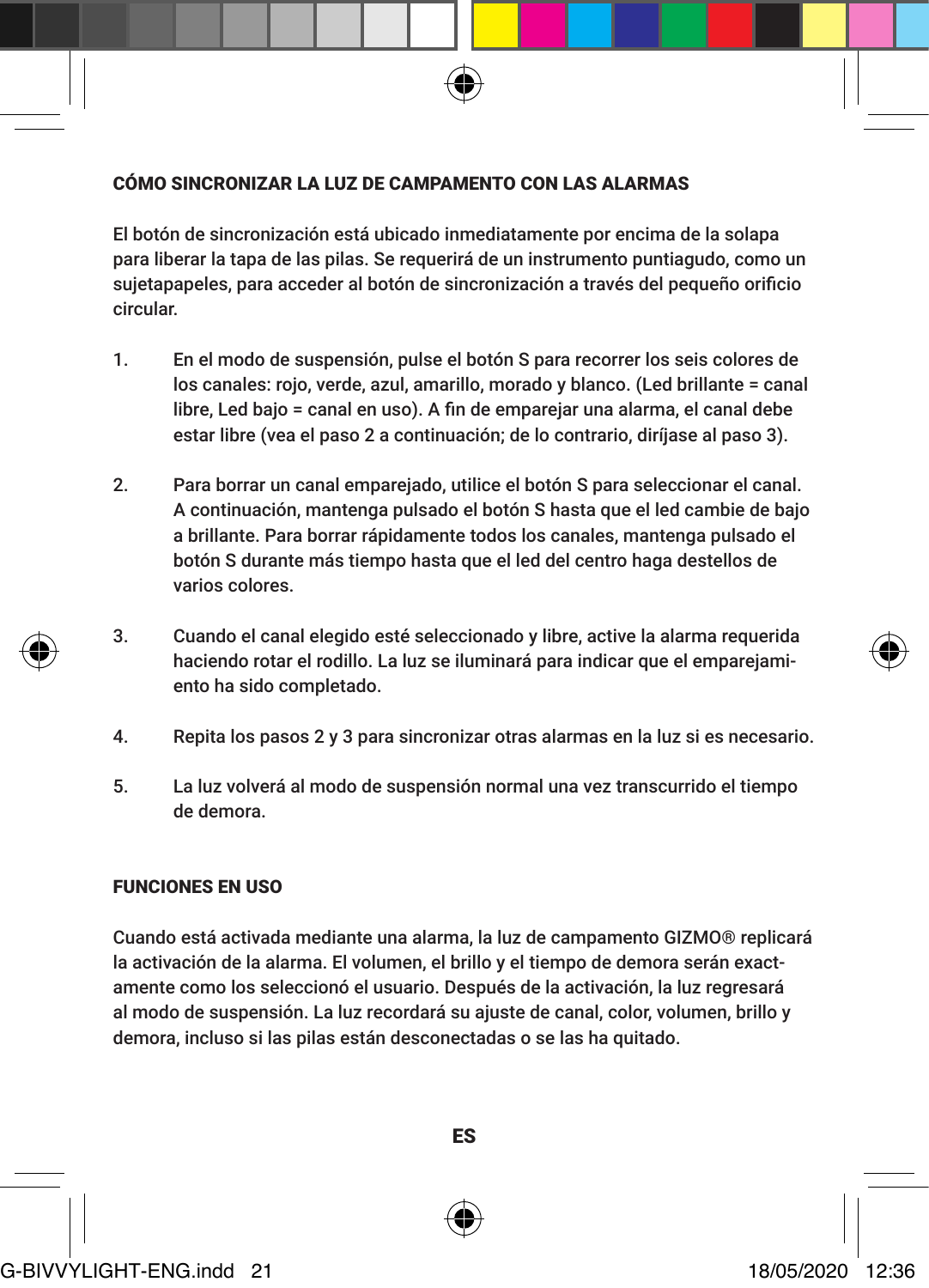#### CÓMO SINCRONIZAR LA LUZ DE CAMPAMENTO CON LAS ALARMAS

El botón de sincronización está ubicado inmediatamente por encima de la solapa para liberar la tapa de las pilas. Se requerirá de un instrumento puntiagudo, como un sujetapapeles, para acceder al botón de sincronización a través del pequeño orificio circular.

- 1. En el modo de suspensión, pulse el botón S para recorrer los seis colores de los canales: rojo, verde, azul, amarillo, morado y blanco. (Led brillante = canal libre, Led bajo = canal en uso). A fin de emparejar una alarma, el canal debe estar libre (vea el paso 2 a continuación; de lo contrario, diríjase al paso 3).
- 2. Para borrar un canal emparejado, utilice el botón S para seleccionar el canal. A continuación, mantenga pulsado el botón S hasta que el led cambie de bajo a brillante. Para borrar rápidamente todos los canales, mantenga pulsado el botón S durante más tiempo hasta que el led del centro haga destellos de varios colores.
- 3. Cuando el canal elegido esté seleccionado y libre, active la alarma requerida haciendo rotar el rodillo. La luz se iluminará para indicar que el emparejamiento ha sido completado.
- 4. Repita los pasos 2 y 3 para sincronizar otras alarmas en la luz si es necesario.
- 5. La luz volverá al modo de suspensión normal una vez transcurrido el tiempo de demora.

#### FUNCIONES EN USO

Cuando está activada mediante una alarma, la luz de campamento GIZMO® replicará la activación de la alarma. El volumen, el brillo y el tiempo de demora serán exactamente como los seleccionó el usuario. Después de la activación, la luz regresará al modo de suspensión. La luz recordará su ajuste de canal, color, volumen, brillo y demora, incluso si las pilas están desconectadas o se las ha quitado.

# G-BIVVYLIGHT-ENG.indd 21 18/05/2020 12:36

ES

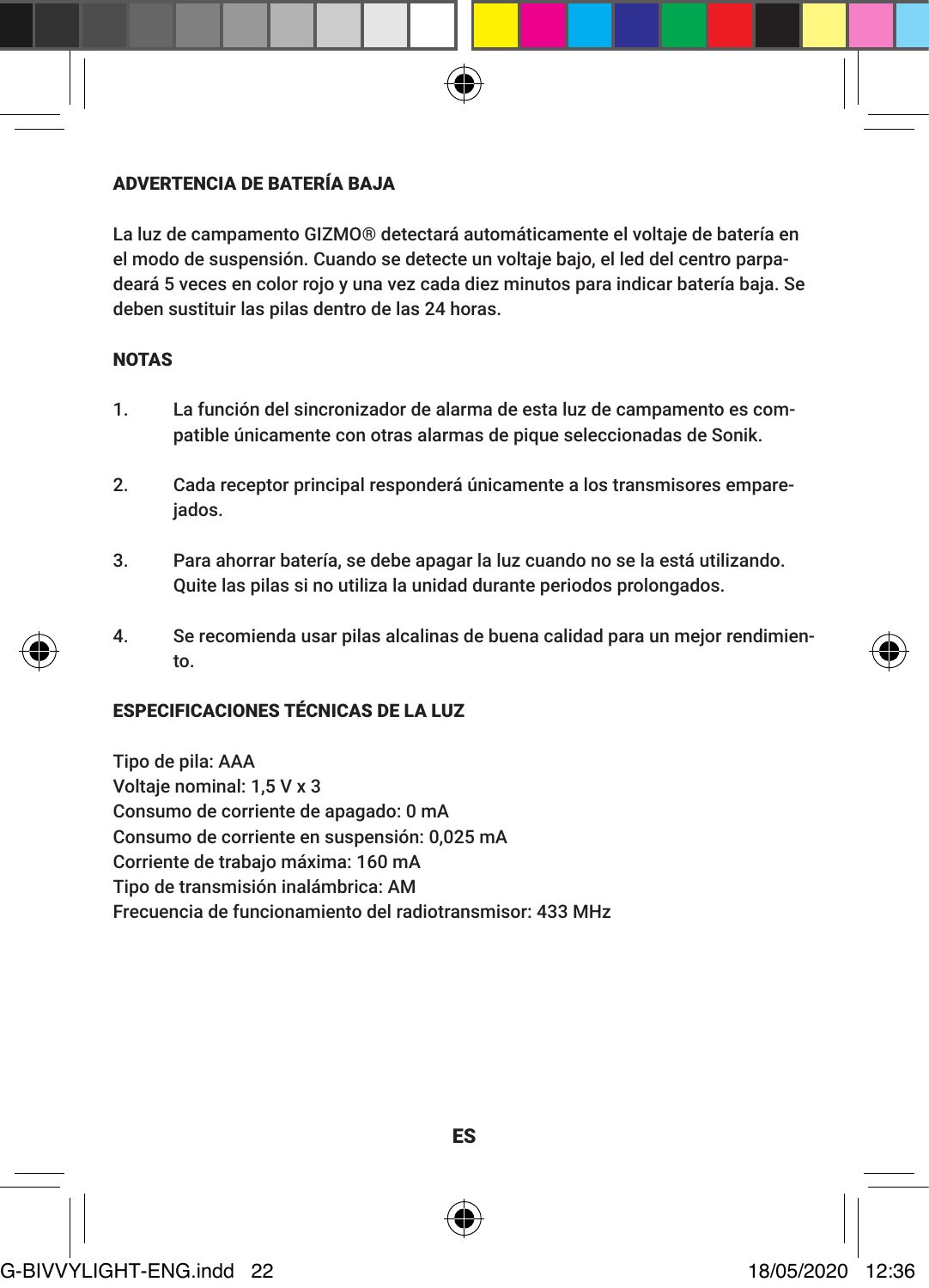# ADVERTENCIA DE BATERÍA BAJA

La luz de campamento GIZMO® detectará automáticamente el voltaje de batería en el modo de suspensión. Cuando se detecte un voltaje bajo, el led del centro parpadeará 5 veces en color rojo y una vez cada diez minutos para indicar batería baja. Se deben sustituir las pilas dentro de las 24 horas.

# **NOTAS**

- 1. La función del sincronizador de alarma de esta luz de campamento es compatible únicamente con otras alarmas de pique seleccionadas de Sonik.
- 2. Cada receptor principal responderá únicamente a los transmisores empareiados.
- 3. Para ahorrar batería, se debe apagar la luz cuando no se la está utilizando. Quite las pilas si no utiliza la unidad durante periodos prolongados.
- 4. Se recomienda usar pilas alcalinas de buena calidad para un mejor rendimiento.

# ESPECIFICACIONES TÉCNICAS DE LA LUZ

Tipo de pila: AAA Voltaje nominal: 1,5 V x 3 Consumo de corriente de apagado: 0 mA Consumo de corriente en suspensión: 0,025 mA Corriente de trabajo máxima: 160 mA Tipo de transmisión inalámbrica: AM Frecuencia de funcionamiento del radiotransmisor: 433 MHz



#### ES



G-BIVVYLIGHT-ENG.indd 22 18/05/2020 12:36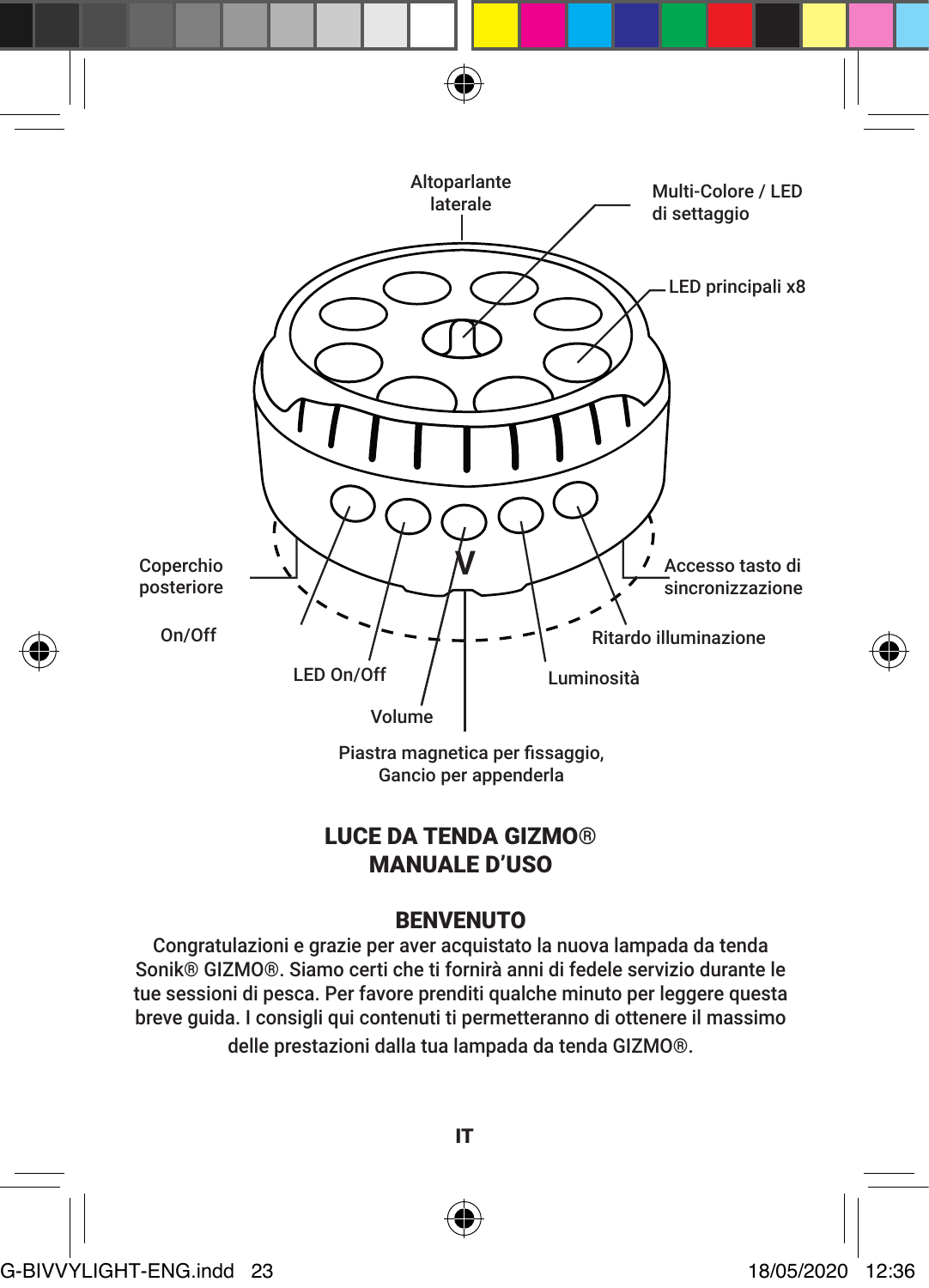

# LUCE DA TENDA GIZMO® MANUALE D'USO

# BENVENUTO

Congratulazioni e grazie per aver acquistato la nuova lampada da tenda Sonik® GIZMO®. Siamo certi che ti fornirà anni di fedele servizio durante le tue sessioni di pesca. Per favore prenditi qualche minuto per leggere questa breve guida. I consigli qui contenuti ti permetteranno di ottenere il massimo

delle prestazioni dalla tua lampada da tenda GIZMO®.



IT

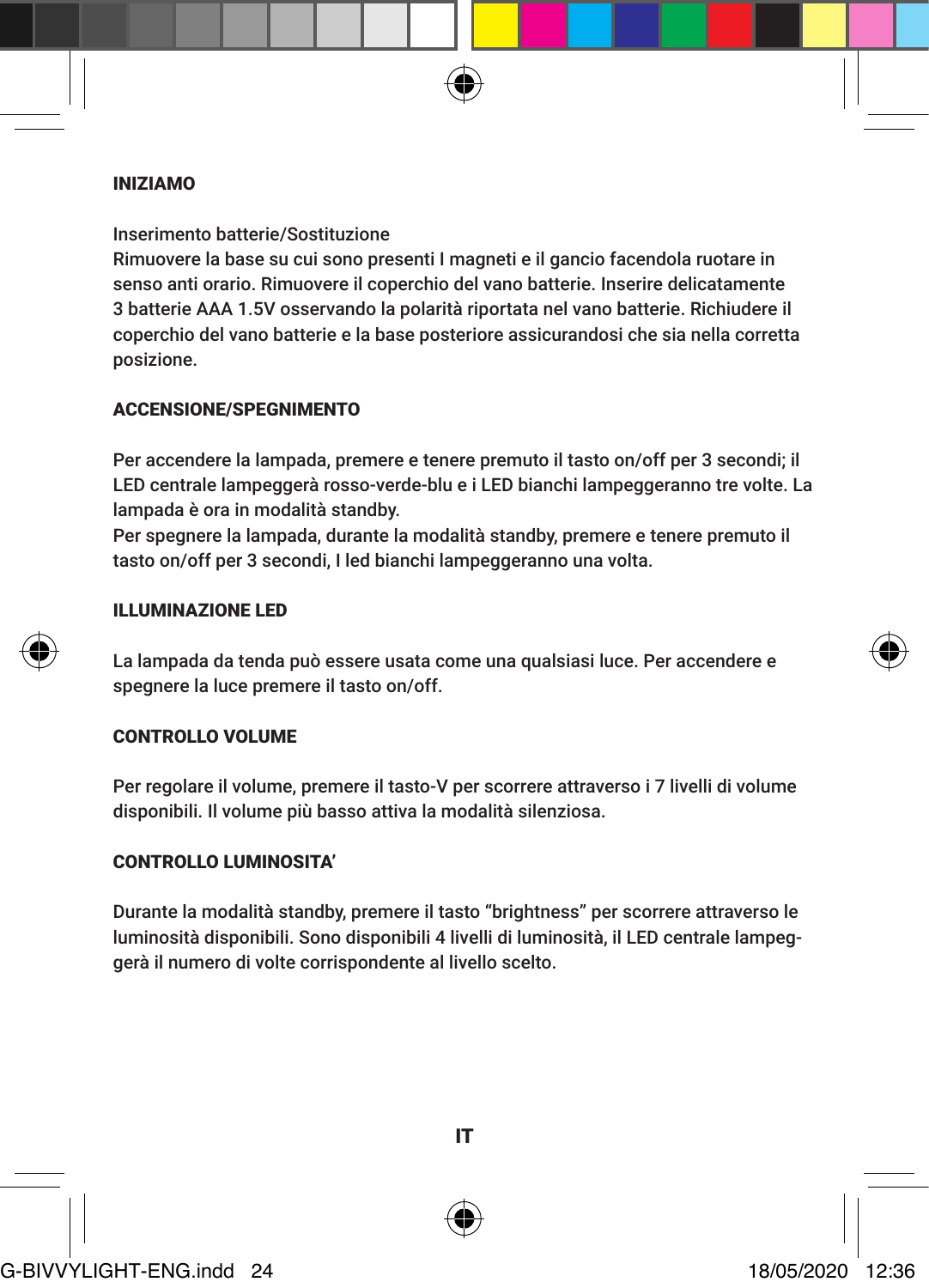#### INIZIAMO

Inserimento batterie/Sostituzione

Rimuovere la base su cui sono presenti I magneti e il gancio facendola ruotare in senso anti orario. Rimuovere il coperchio del vano batterie. Inserire delicatamente 3 batterie AAA 1.5V osservando la polarità riportata nel vano batterie. Richiudere il coperchio del vano batterie e la base posteriore assicurandosi che sia nella corretta posizione.

#### ACCENSIONE/SPEGNIMENTO

Per accendere la lampada, premere e tenere premuto il tasto on/off per 3 secondi; il LED centrale lampeggerà rosso-verde-blu e i LED bianchi lampeggeranno tre volte. La lampada è ora in modalità standby.

Per spegnere la lampada, durante la modalità standby, premere e tenere premuto il tasto on/off per 3 secondi, I led bianchi lampeggeranno una volta.

#### ILLUMINAZIONE LED

La lampada da tenda può essere usata come una qualsiasi luce. Per accendere e spegnere la luce premere il tasto on/off.

#### CONTROLLO VOLUME

Per regolare il volume, premere il tasto-V per scorrere attraverso i 7 livelli di volume disponibili. Il volume più basso attiva la modalità silenziosa.

# CONTROLLO LUMINOSITA'

Durante la modalità standby, premere il tasto "brightness" per scorrere attraverso le luminosità disponibili. Sono disponibili 4 livelli di luminosità, il LED centrale lampeggerà il numero di volte corrispondente al livello scelto.



IT



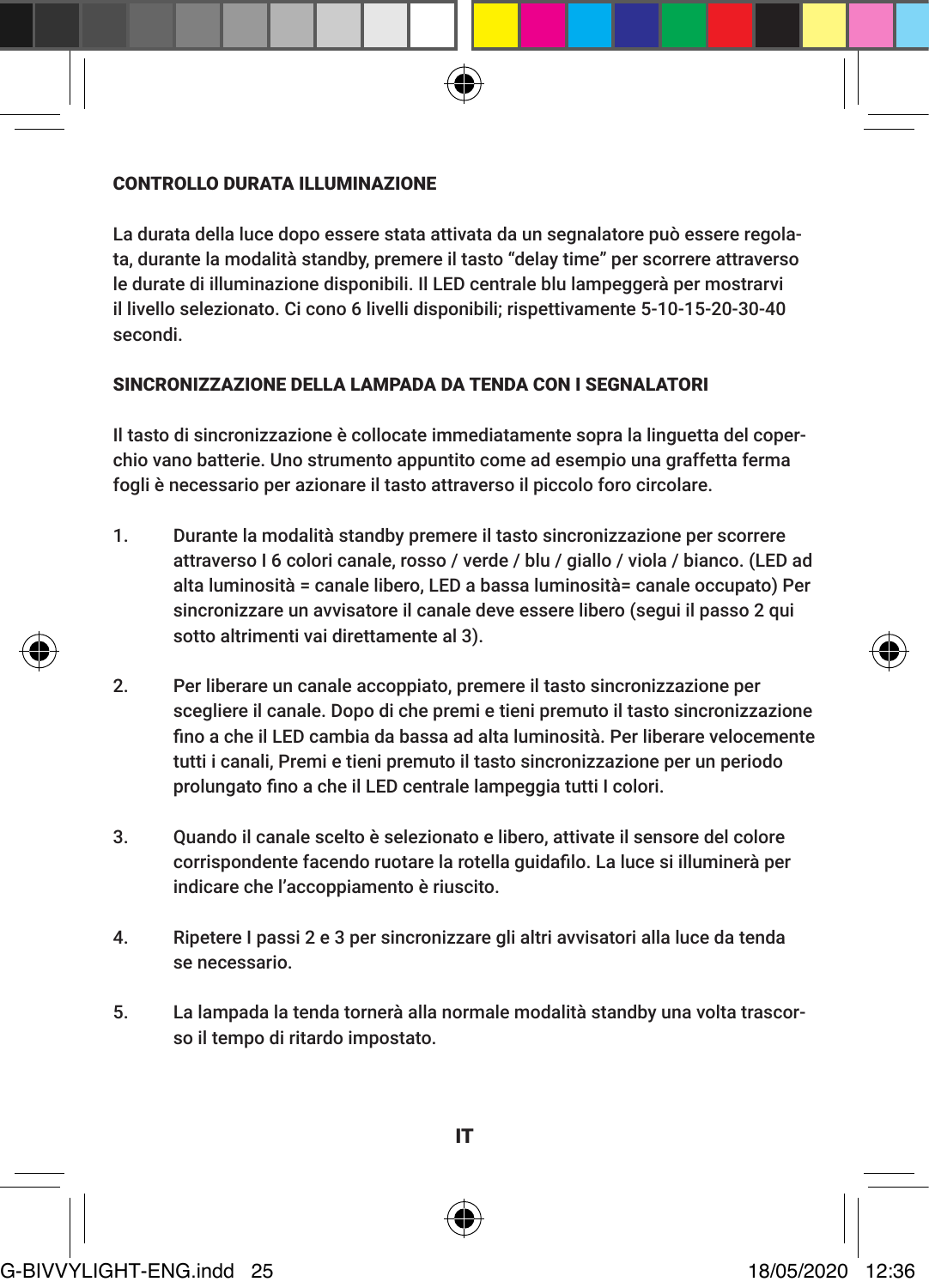#### CONTROLLO DURATA ILLUMINAZIONE

La durata della luce dopo essere stata attivata da un segnalatore può essere regolata, durante la modalità standby, premere il tasto "delay time" per scorrere attraverso le durate di illuminazione disponibili. Il LED centrale blu lampeggerà per mostrarvi il livello selezionato. Ci cono 6 livelli disponibili; rispettivamente 5-10-15-20-30-40 secondi.

#### SINCRONIZZAZIONE DELLA LAMPADA DA TENDA CON I SEGNALATORI

Il tasto di sincronizzazione è collocate immediatamente sopra la linguetta del coperchio vano batterie. Uno strumento appuntito come ad esempio una graffetta ferma fogli è necessario per azionare il tasto attraverso il piccolo foro circolare.

- 1. Durante la modalità standby premere il tasto sincronizzazione per scorrere attraverso I 6 colori canale, rosso / verde / blu / giallo / viola / bianco. (LED ad alta luminosità = canale libero, LED a bassa luminosità= canale occupato) Per sincronizzare un avvisatore il canale deve essere libero (segui il passo 2 qui sotto altrimenti vai direttamente al 3).
- 2. Per liberare un canale accoppiato, premere il tasto sincronizzazione per scegliere il canale. Dopo di che premi e tieni premuto il tasto sincronizzazione fino a che il LED cambia da bassa ad alta luminosità. Per liberare velocemente tutti i canali, Premi e tieni premuto il tasto sincronizzazione per un periodo prolungato fino a che il LED centrale lampeggia tutti I colori.
- 3. Quando il canale scelto è selezionato e libero, attivate il sensore del colore corrispondente facendo ruotare la rotella guidafilo. La luce si illuminerà per indicare che l'accoppiamento è riuscito.
- 4. Ripetere I passi 2 e 3 per sincronizzare gli altri avvisatori alla luce da tenda se necessario.
- 5. La lampada la tenda tornerà alla normale modalità standby una volta trascorso il tempo di ritardo impostato.



IT

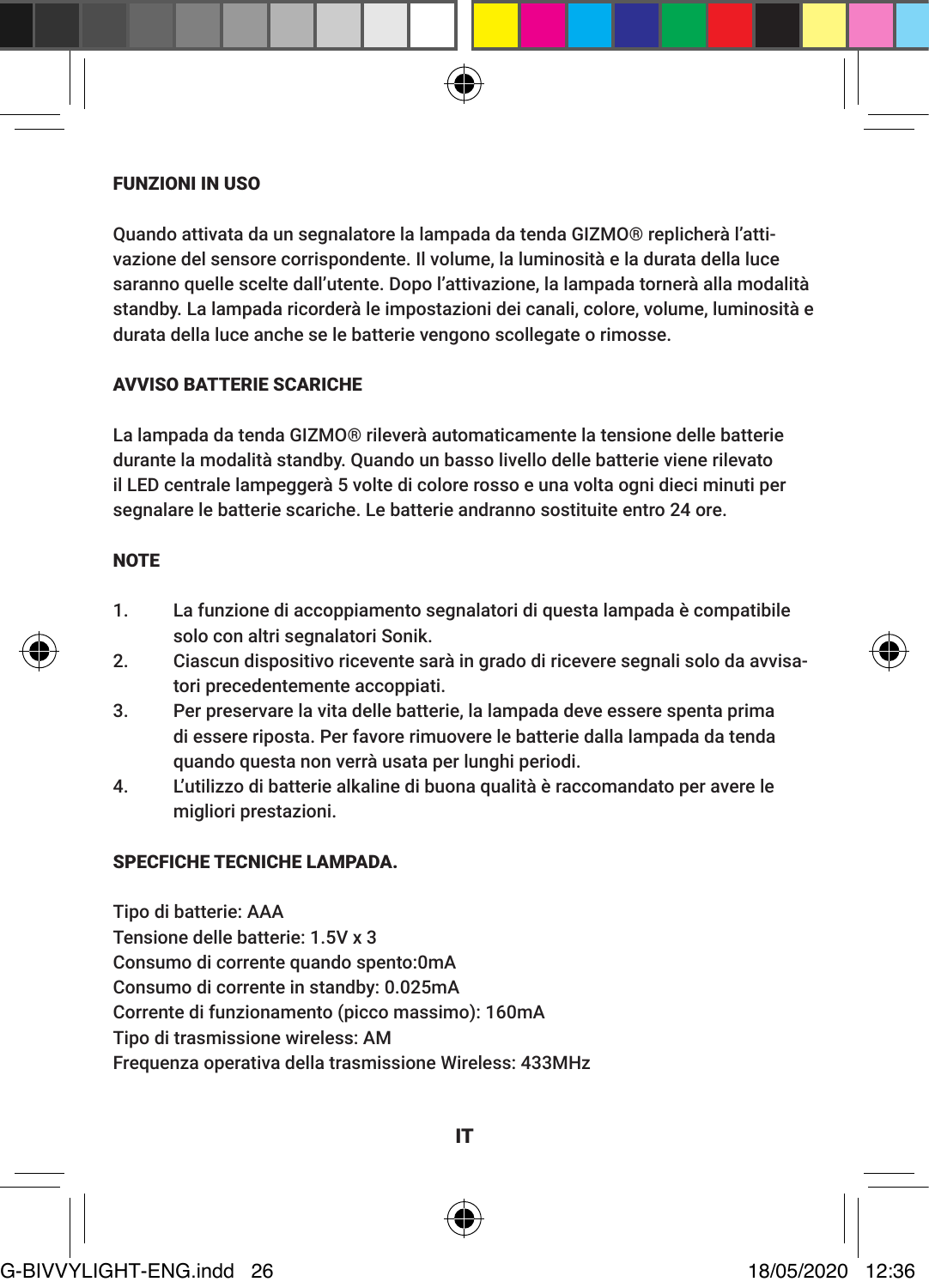#### FUNZIONI IN USO

Quando attivata da un segnalatore la lampada da tenda GIZMO® replicherà l'attivazione del sensore corrispondente. Il volume, la luminosità e la durata della luce saranno quelle scelte dall'utente. Dopo l'attivazione, la lampada tornerà alla modalità standby. La lampada ricorderà le impostazioni dei canali, colore, volume, luminosità e durata della luce anche se le batterie vengono scollegate o rimosse.

#### AVVISO BATTERIE SCARICHE

La lampada da tenda GIZMO® rileverà automaticamente la tensione delle batterie durante la modalità standby. Quando un basso livello delle batterie viene rilevato il LED centrale lampeggerà 5 volte di colore rosso e una volta ogni dieci minuti per segnalare le batterie scariche. Le batterie andranno sostituite entro 24 ore.

# **NOTE**

- 1. La funzione di accoppiamento segnalatori di questa lampada è compatibile solo con altri segnalatori Sonik.
- 2. Ciascun dispositivo ricevente sarà in grado di ricevere segnali solo da avvisatori precedentemente accoppiati.
- 3. Per preservare la vita delle batterie, la lampada deve essere spenta prima di essere riposta. Per favore rimuovere le batterie dalla lampada da tenda quando questa non verrà usata per lunghi periodi.
- 4. L'utilizzo di batterie alkaline di buona qualità è raccomandato per avere le migliori prestazioni.

#### SPECFICHE TECNICHE LAMPADA.

Tipo di batterie: AAA Tensione delle batterie: 1.5V x 3 Consumo di corrente quando spento:0mA Consumo di corrente in standby: 0.025mA Corrente di funzionamento (picco massimo): 160mA Tipo di trasmissione wireless: AM Frequenza operativa della trasmissione Wireless: 433MHz



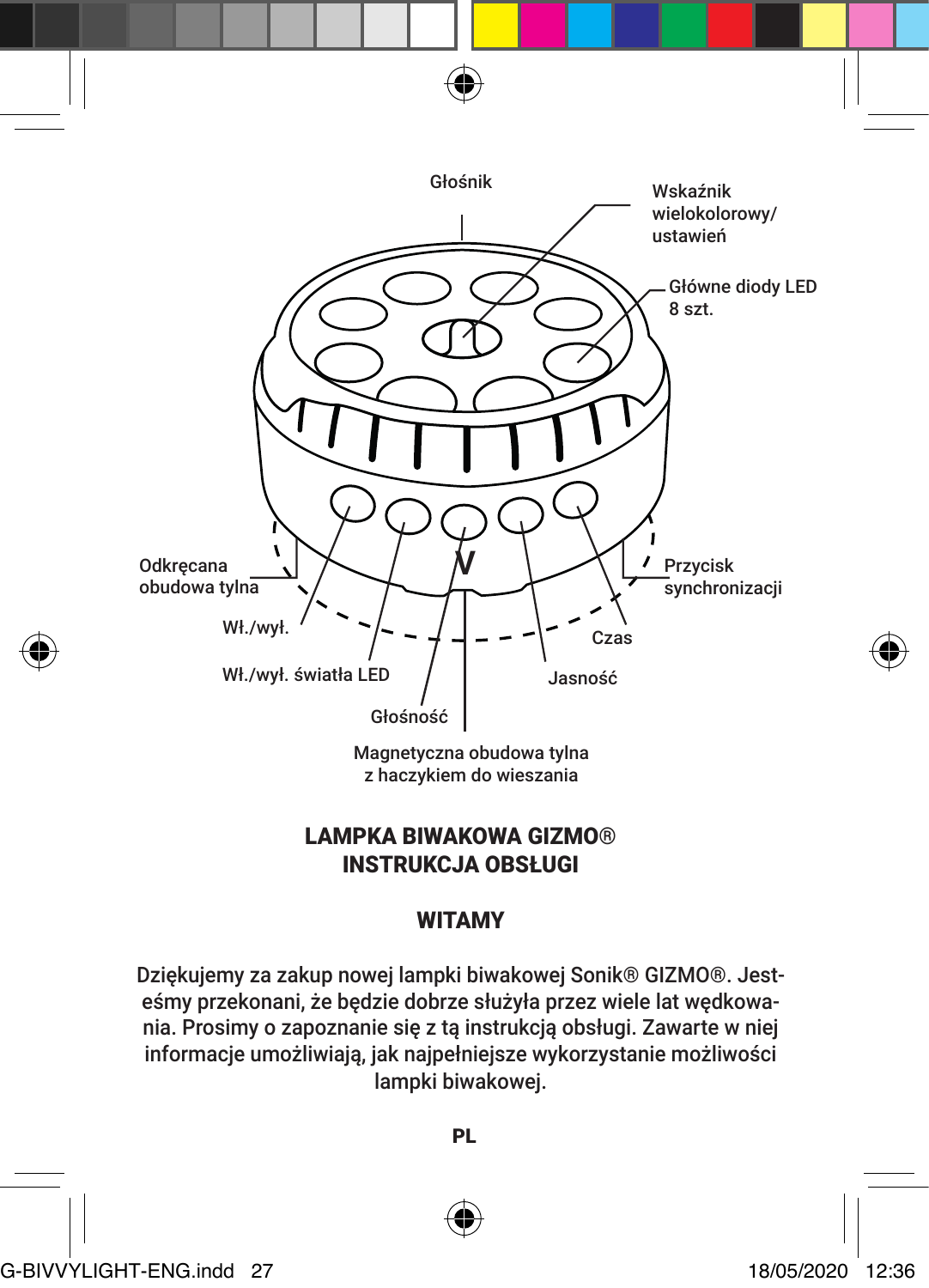

z haczykiem do wieszania

# LAMPKA BIWAKOWA GIZMO® INSTRUKCJA OBSŁUGI

# WITAMY

Dziękujemy za zakup nowej lampki biwakowej Sonik® GIZMO®. Jesteśmy przekonani, że będzie dobrze służyła przez wiele lat wędkowania. Prosimy o zapoznanie się z tą instrukcją obsługi. Zawarte w niej informacje umożliwiają, jak najpełniejsze wykorzystanie możliwości lampki biwakowej.

PL



G-BIVVYLIGHT-ENG.indd 27 18/05/2020 12:36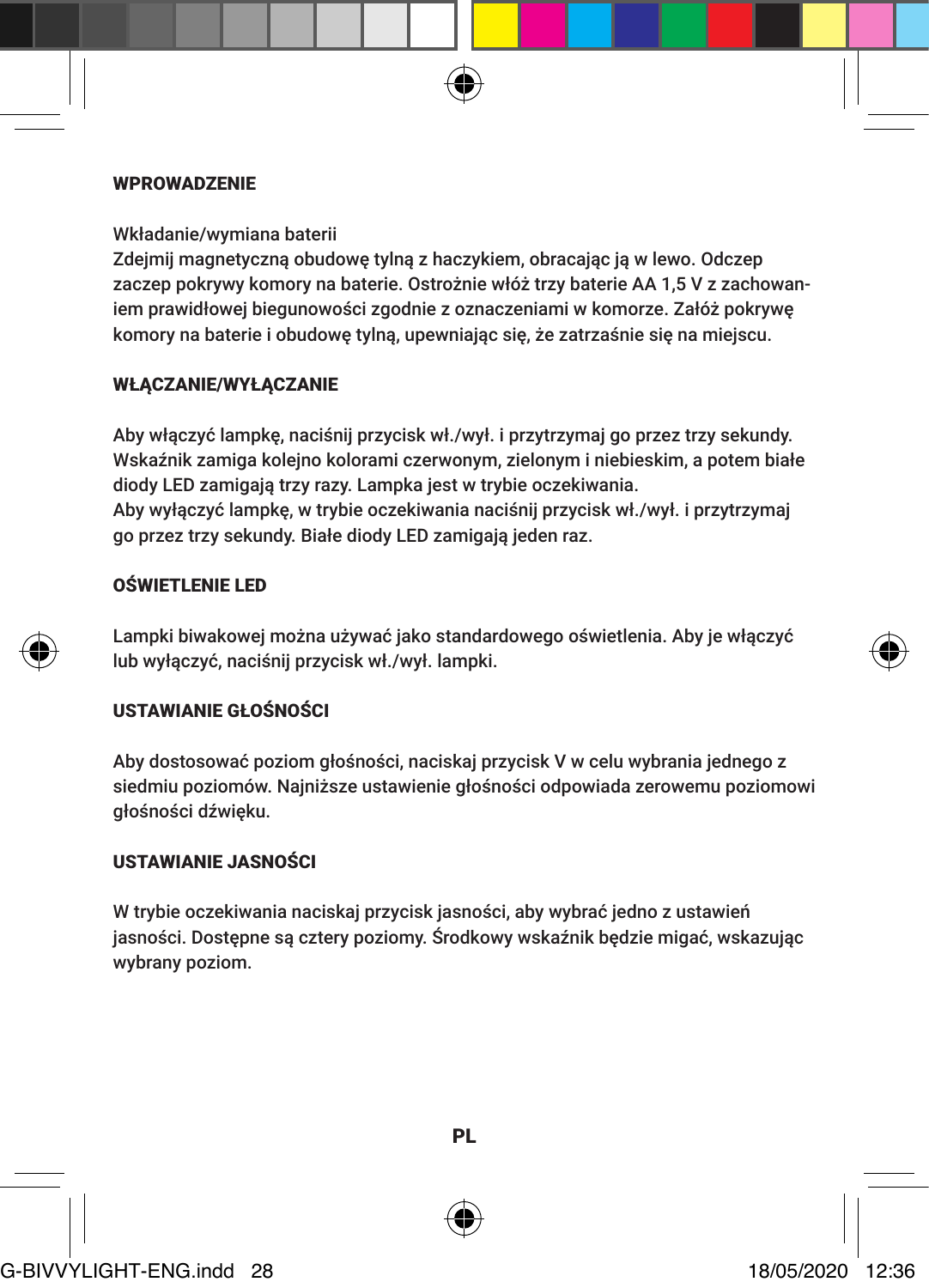#### **WPROWADZENIE**

Wkładanie/wymiana baterii

Zdejmij magnetyczną obudowę tylną z haczykiem, obracając ją w lewo. Odczep zaczep pokrywy komory na baterie. Ostrożnie włóż trzy baterie AA 1,5 V z zachowaniem prawidłowej biegunowości zgodnie z oznaczeniami w komorze. Załóż pokrywę komory na baterie i obudowę tylną, upewniając się, że zatrzaśnie się na miejscu.

#### WŁACZANIE/WYŁACZANIE

Aby włączyć lampkę, naciśnij przycisk wł./wył. i przytrzymaj go przez trzy sekundy. Wskaźnik zamiga kolejno kolorami czerwonym, zielonym i niebieskim, a potem białe diody LED zamigają trzy razy. Lampka jest w trybie oczekiwania. Aby wyłączyć lampkę, w trybie oczekiwania naciśnij przycisk wł./wył. i przytrzymaj go przez trzy sekundy. Białe diody LED zamigają jeden raz.

# OŚWIETLENIE LED

Lampki biwakowej można używać jako standardowego oświetlenia. Aby je włączyć lub wyłączyć, naciśnij przycisk wł./wył. lampki.

### USTAWIANIE GŁOŚNOŚCI

Aby dostosować poziom głośności, naciskaj przycisk V w celu wybrania jednego z siedmiu poziomów. Najniższe ustawienie głośności odpowiada zerowemu poziomowi głośności dźwięku.

# USTAWIANIE JASNOŚCI

W trybie oczekiwania naciskaj przycisk jasności, aby wybrać jedno z ustawień jasności. Dostępne są cztery poziomy. Środkowy wskaźnik będzie migać, wskazując wybrany poziom.







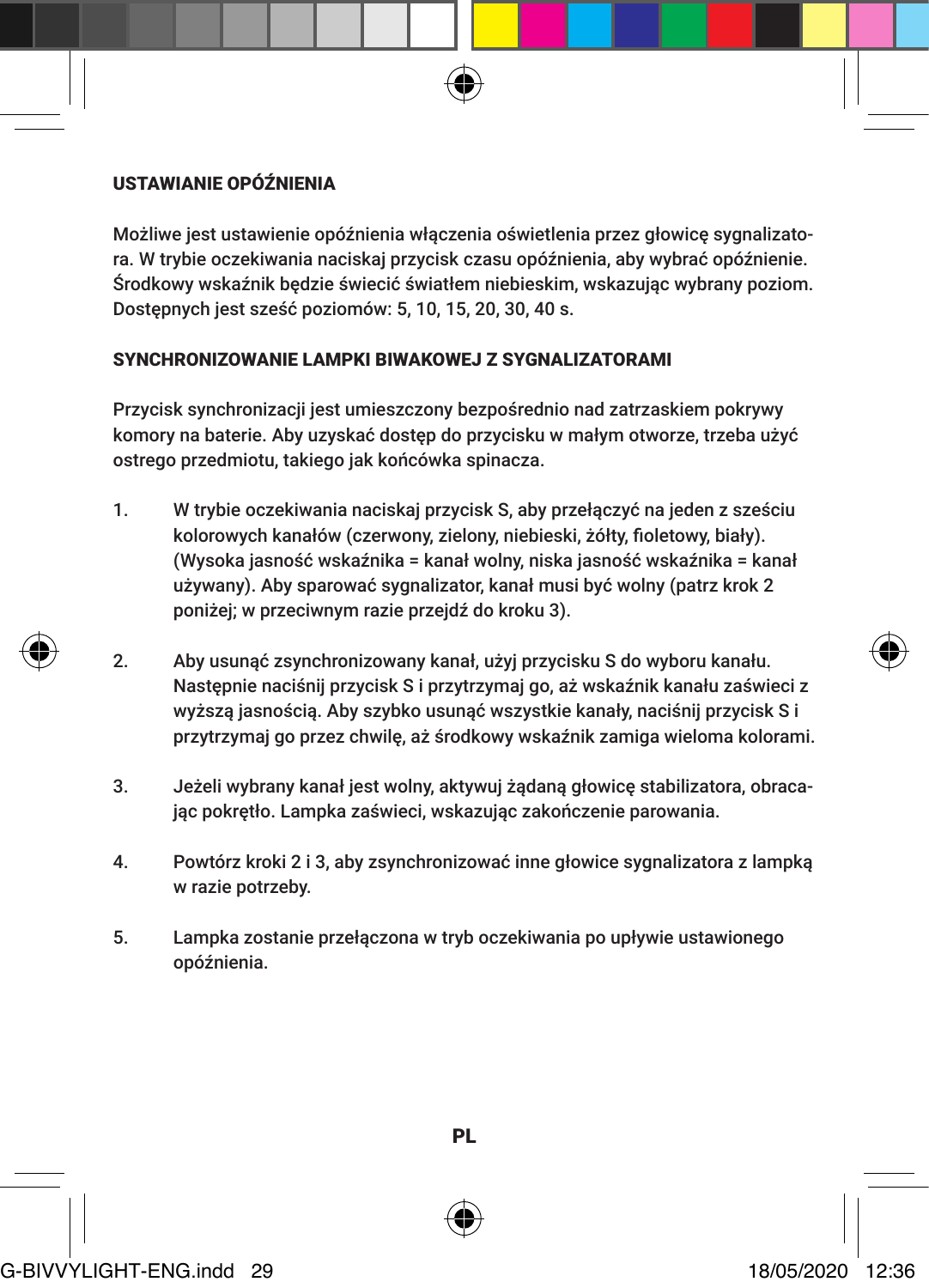# USTAWIANIE OPÓŹNIENIA

Możliwe jest ustawienie opóźnienia włączenia oświetlenia przez głowicę sygnalizatora. W trybie oczekiwania naciskaj przycisk czasu opóźnienia, aby wybrać opóźnienie. Środkowy wskaźnik będzie świecić światłem niebieskim, wskazując wybrany poziom. Dostępnych jest sześć poziomów: 5, 10, 15, 20, 30, 40 s.

#### SYNCHRONIZOWANIE LAMPKI BIWAKOWEJ Z SYGNALIZATORAMI

Przycisk synchronizacji jest umieszczony bezpośrednio nad zatrzaskiem pokrywy komory na baterie. Aby uzyskać dostęp do przycisku w małym otworze, trzeba użyć ostrego przedmiotu, takiego jak końcówka spinacza.

- 1. W trybie oczekiwania naciskaj przycisk S, aby przełączyć na jeden z sześciu kolorowych kanałów (czerwony, zielony, niebieski, żółty, fioletowy, biały). (Wysoka jasność wskaźnika = kanał wolny, niska jasność wskaźnika = kanał używany). Aby sparować sygnalizator, kanał musi być wolny (patrz krok 2 poniżej; w przeciwnym razie przejdź do kroku 3).
- 2. Aby usunąć zsynchronizowany kanał, użyj przycisku S do wyboru kanału. Następnie naciśnij przycisk S i przytrzymaj go, aż wskaźnik kanału zaświeci z wyższą jasnością. Aby szybko usunąć wszystkie kanały, naciśnij przycisk S i przytrzymaj go przez chwilę, aż środkowy wskaźnik zamiga wieloma kolorami.
- 3. Jeżeli wybrany kanał jest wolny, aktywuj żądaną głowicę stabilizatora, obracając pokrętło. Lampka zaświeci, wskazując zakończenie parowania.
- 4. Powtórz kroki 2 i 3, aby zsynchronizować inne głowice sygnalizatora z lampką w razie potrzeby.
- 5. Lampka zostanie przełączona w tryb oczekiwania po upływie ustawionego opóźnienia.



PL

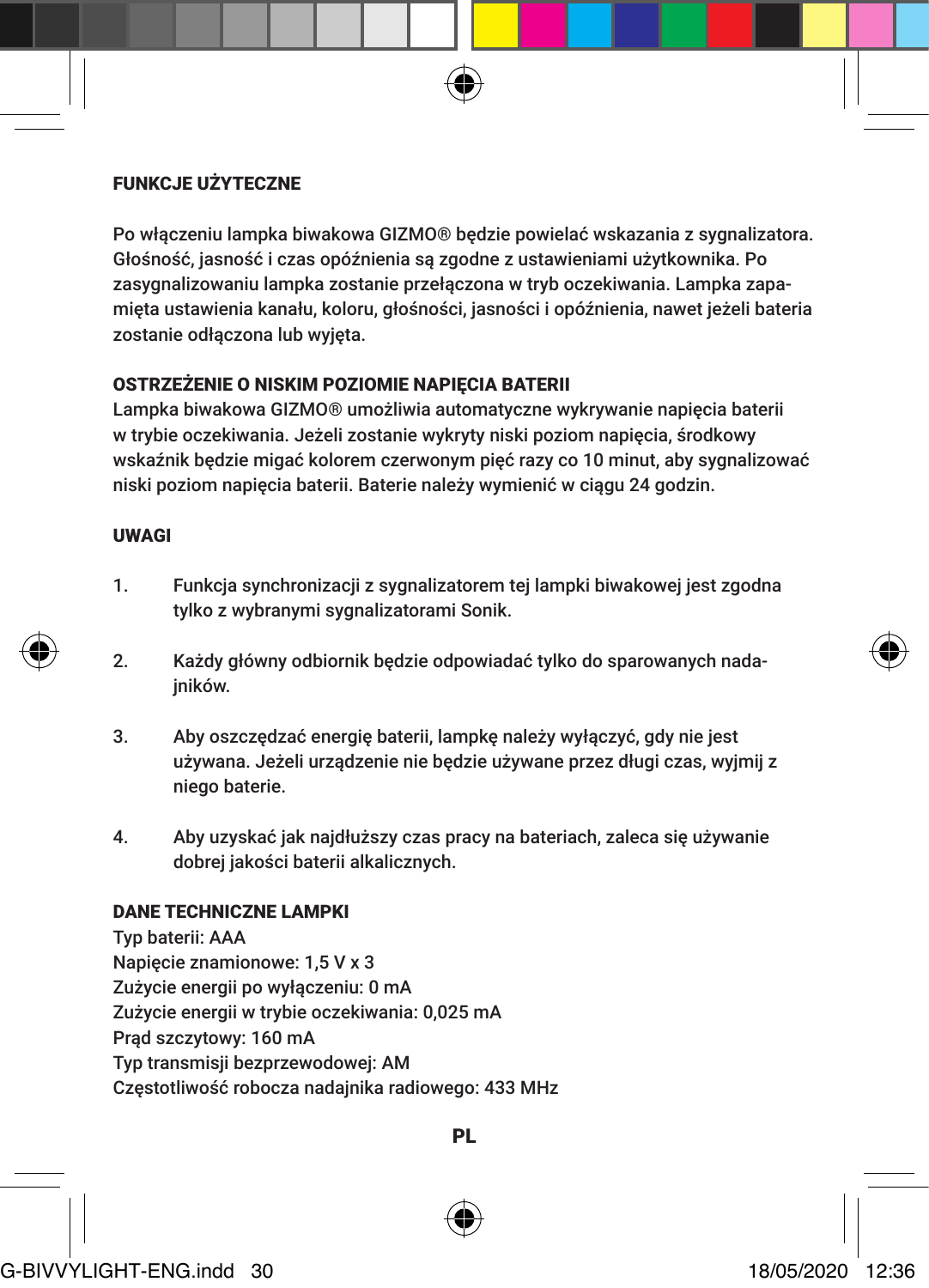# FUNKCJE UŻYTECZNE

Po włączeniu lampka biwakowa GIZMO® będzie powielać wskazania z sygnalizatora. Głośność, jasność i czas opóźnienia są zgodne z ustawieniami użytkownika. Po zasygnalizowaniu lampka zostanie przełączona w tryb oczekiwania. Lampka zapamięta ustawienia kanału, koloru, głośności, jasności i opóźnienia, nawet jeżeli bateria zostanie odłączona lub wyjęta.

#### OSTRZEŻENIE O NISKIM POZIOMIE NAPIECIA BATERII

Lampka biwakowa GIZMO® umożliwia automatyczne wykrywanie napięcia baterii w trybie oczekiwania. Jeżeli zostanie wykryty niski poziom napięcia, środkowy wskaźnik będzie migać kolorem czerwonym pięć razy co 10 minut, aby sygnalizować niski poziom napięcia baterii. Baterie należy wymienić w ciągu 24 godzin.

# UWAGI

- 1. Funkcja synchronizacji z sygnalizatorem tej lampki biwakowej jest zgodna tylko z wybranymi sygnalizatorami Sonik.
- 2. Każdy główny odbiornik będzie odpowiadać tylko do sparowanych nadainików.
- 3. Aby oszczędzać energię baterii, lampkę należy wyłączyć, gdy nie jest używana. Jeżeli urządzenie nie będzie używane przez długi czas, wyjmij z niego baterie.
- 4. Aby uzyskać jak najdłuższy czas pracy na bateriach, zaleca się używanie dobrej jakości baterii alkalicznych.

# DANE TECHNICZNE LAMPKI

Typ baterii: AAA Napięcie znamionowe: 1,5 V x 3 Zużycie energii po wyłączeniu: 0 mA Zużycie energii w trybie oczekiwania: 0,025 mA Prąd szczytowy: 160 mA Typ transmisji bezprzewodowej: AM Częstotliwość robocza nadajnika radiowego: 433 MHz



PL